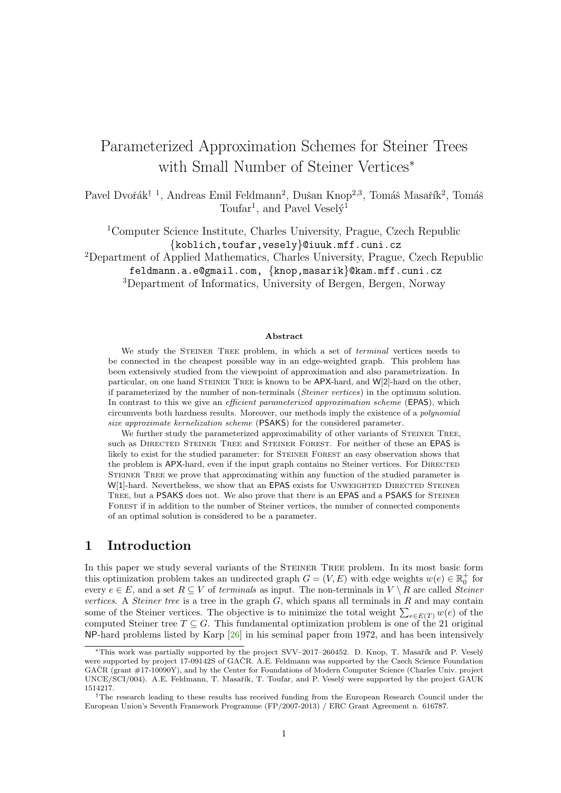# Parameterized Approximation Schemes for Steiner Trees with Small Number of Steiner Vertices<sup>∗</sup>

Pavel Dvořák<sup>† 1</sup>, Andreas Emil Feldmann<sup>2</sup>, Dušan Knop<sup>2,3</sup>, Tomáš Masařík<sup>2</sup>, Tomáš Toufar<sup>1</sup>, and Pavel Vesely<sup>1</sup>

<sup>1</sup>Computer Science Institute, Charles University, Prague, Czech Republic {koblich,toufar,vesely}@iuuk.mff.cuni.cz

<sup>2</sup>Department of Applied Mathematics, Charles University, Prague, Czech Republic feldmann.a.e@gmail.com, {knop,masarik}@kam.mff.cuni.cz

<sup>3</sup>Department of Informatics, University of Bergen, Bergen, Norway

#### Abstract

We study the STEINER TREE problem, in which a set of *terminal* vertices needs to be connected in the cheapest possible way in an edge-weighted graph. This problem has been extensively studied from the viewpoint of approximation and also parametrization. In particular, on one hand STEINER TREE is known to be APX-hard, and W[2]-hard on the other, if parameterized by the number of non-terminals (Steiner vertices) in the optimum solution. In contrast to this we give an *efficient parameterized approximation scheme* (EPAS), which circumvents both hardness results. Moreover, our methods imply the existence of a polynomial size approximate kernelization scheme (PSAKS) for the considered parameter.

We further study the parameterized approximability of other variants of STEINER TREE, such as DIRECTED STEINER TREE and STEINER FOREST. For neither of these an EPAS is likely to exist for the studied parameter: for STEINER FOREST an easy observation shows that the problem is APX-hard, even if the input graph contains no Steiner vertices. For DIRECTED Steiner Tree we prove that approximating within any function of the studied parameter is W[1]-hard. Nevertheless, we show that an EPAS exists for UNWEIGHTED DIRECTED STEINER TREE, but a PSAKS does not. We also prove that there is an EPAS and a PSAKS for STEINER Forest if in addition to the number of Steiner vertices, the number of connected components of an optimal solution is considered to be a parameter.

### 1 Introduction

In this paper we study several variants of the STEINER TREE problem. In its most basic form this optimization problem takes an undirected graph  $G = (V, E)$  with edge weights  $w(e) \in \mathbb{R}^+_0$  for every  $e \in E$ , and a set  $R \subseteq V$  of terminals as input. The non-terminals in  $V \setminus R$  are called *Steiner* vertices. A Steiner tree is a tree in the graph  $G$ , which spans all terminals in  $R$  and may contain some of the Steiner vertices. The objective is to minimize the total weight  $\sum_{e \in E(T)} w(e)$  of the computed Steiner tree  $T \subseteq G$ . This fundamental optimization problem is one of the 21 original NP-hard problems listed by Karp [\[26\]](#page-23-0) in his seminal paper from 1972, and has been intensively

<sup>\*</sup>This work was partially supported by the project SVV–2017–260452. D. Knop, T. Masařík and P. Veselý were supported by project 17-09142S of GAČR. A.E. Feldmann was supported by the Czech Science Foundation  $GACR$  (grant  $#17-10090Y$ ), and by the Center for Foundations of Modern Computer Science (Charles Univ. project UNCE/SCI/004). A.E. Feldmann, T. Masařík, T. Toufar, and P. Veselý were supported by the project GAUK 1514217.

<sup>†</sup>The research leading to these results has received funding from the European Research Council under the European Union's Seventh Framework Programme (FP/2007-2013) / ERC Grant Agreement n. 616787.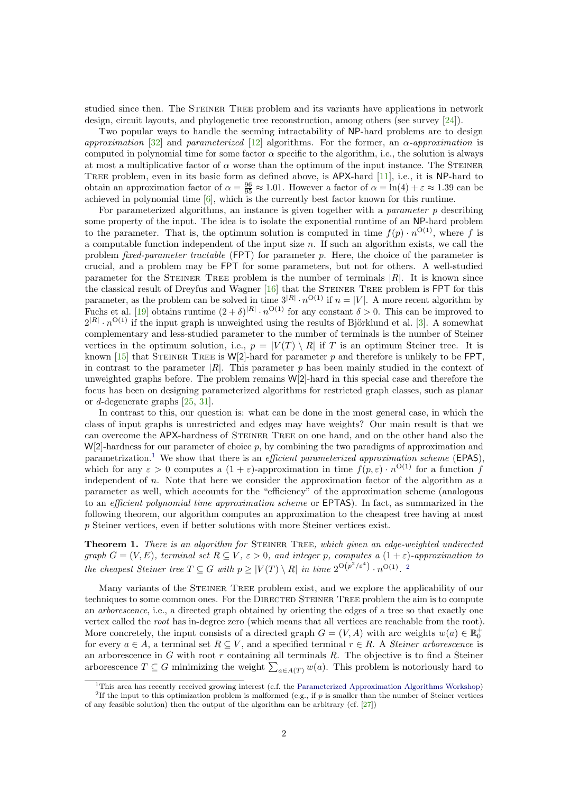studied since then. The STEINER TREE problem and its variants have applications in network design, circuit layouts, and phylogenetic tree reconstruction, among others (see survey [\[24\]](#page-23-1)).

Two popular ways to handle the seeming intractability of NP-hard problems are to design approximation [\[32\]](#page-23-2) and parameterized [\[12\]](#page-22-0) algorithms. For the former, an  $\alpha$ -approximation is computed in polynomial time for some factor  $\alpha$  specific to the algorithm, i.e., the solution is always at most a multiplicative factor of  $\alpha$  worse than the optimum of the input instance. The STEINER TREE problem, even in its basic form as defined above, is APX-hard [\[11\]](#page-22-1), i.e., it is NP-hard to obtain an approximation factor of  $\alpha = \frac{96}{95} \approx 1.01$ . However a factor of  $\alpha = \ln(4) + \varepsilon \approx 1.39$  can be achieved in polynomial time [\[6\]](#page-21-0), which is the currently best factor known for this runtime.

For parameterized algorithms, an instance is given together with a *parameter* p describing some property of the input. The idea is to isolate the exponential runtime of an NP-hard problem to the parameter. That is, the optimum solution is computed in time  $f(p) \cdot n^{O(1)}$ , where f is a computable function independent of the input size  $n$ . If such an algorithm exists, we call the problem *fixed-parameter tractable* ( $FPT$ ) for parameter p. Here, the choice of the parameter is crucial, and a problem may be FPT for some parameters, but not for others. A well-studied parameter for the STEINER TREE problem is the number of terminals  $|R|$ . It is known since the classical result of Dreyfus and Wagner [\[16\]](#page-22-2) that the Steiner Tree problem is FPT for this parameter, as the problem can be solved in time  $3^{|R|} \cdot n^{\mathcal{O}(1)}$  if  $n = |V|$ . A more recent algorithm by Fuchs et al. [\[19\]](#page-22-3) obtains runtime  $(2 + \delta)^{|R|} \cdot n^{\mathcal{O}(1)}$  for any constant  $\delta > 0$ . This can be improved to  $2^{|R|} \cdot n^{O(1)}$  if the input graph is unweighted using the results of Björklund et al. [\[3\]](#page-21-1). A somewhat complementary and less-studied parameter to the number of terminals is the number of Steiner vertices in the optimum solution, i.e.,  $p = |V(T) \setminus R|$  if T is an optimum Steiner tree. It is known [\[15\]](#page-22-4) that STEINER TREE is W[2]-hard for parameter p and therefore is unlikely to be FPT. in contrast to the parameter  $|R|$ . This parameter p has been mainly studied in the context of unweighted graphs before. The problem remains W[2]-hard in this special case and therefore the focus has been on designing parameterized algorithms for restricted graph classes, such as planar or d-degenerate graphs [\[25,](#page-23-3) [31\]](#page-23-4).

In contrast to this, our question is: what can be done in the most general case, in which the class of input graphs is unrestricted and edges may have weights? Our main result is that we can overcome the APX-hardness of Steiner Tree on one hand, and on the other hand also the  $W[2]$ -hardness for our parameter of choice p, by combining the two paradigms of approximation and parametrization.<sup>[1](#page-1-0)</sup> We show that there is an *efficient parameterized approximation scheme* (EPAS), which for any  $\varepsilon > 0$  computes a  $(1 + \varepsilon)$ -approximation in time  $f(p, \varepsilon) \cdot n^{O(1)}$  for a function f independent of n. Note that here we consider the approximation factor of the algorithm as a parameter as well, which accounts for the "efficiency" of the approximation scheme (analogous to an efficient polynomial time approximation scheme or EPTAS). In fact, as summarized in the following theorem, our algorithm computes an approximation to the cheapest tree having at most p Steiner vertices, even if better solutions with more Steiner vertices exist.

<span id="page-1-2"></span>**Theorem 1.** There is an algorithm for STEINER TREE, which given an edge-weighted undirected graph  $G = (V, E)$ , terminal set  $R \subseteq V$ ,  $\varepsilon > 0$ , and integer p, computes a  $(1 + \varepsilon)$ -approximation to the cheapest Steiner tree  $T \subseteq G$  with  $p \geq |V(T) \setminus R|$  in time  $2^{O(p^2/\varepsilon^4)} \cdot n^{O(1)}$  $2^{O(p^2/\varepsilon^4)} \cdot n^{O(1)}$ .

Many variants of the STEINER TREE problem exist, and we explore the applicability of our techniques to some common ones. For the DIRECTED STEINER TREE problem the aim is to compute an arborescence, i.e., a directed graph obtained by orienting the edges of a tree so that exactly one vertex called the root has in-degree zero (which means that all vertices are reachable from the root). More concretely, the input consists of a directed graph  $G = (V, A)$  with arc weights  $w(a) \in \mathbb{R}_0^+$ for every  $a \in A$ , a terminal set  $R \subseteq V$ , and a specified terminal  $r \in R$ . A *Steiner arborescence* is an arborescence in  $G$  with root  $r$  containing all terminals  $R$ . The objective is to find a Steiner arborescence  $T \subseteq G$  minimizing the weight  $\sum_{a \in A(T)} w(a)$ . This problem is notoriously hard to

<span id="page-1-1"></span><span id="page-1-0"></span><sup>&</sup>lt;sup>1</sup>This area has recently received growing interest (c.f. the [Parameterized Approximation Algorithms Workshop\)](https://sites.google.com/site/aefeldmann/workshop) <sup>2</sup>If the input to this optimization problem is malformed (e.g., if p is smaller than the number of Steiner vertices of any feasible solution) then the output of the algorithm can be arbitrary (cf. [\[27\]](#page-23-5))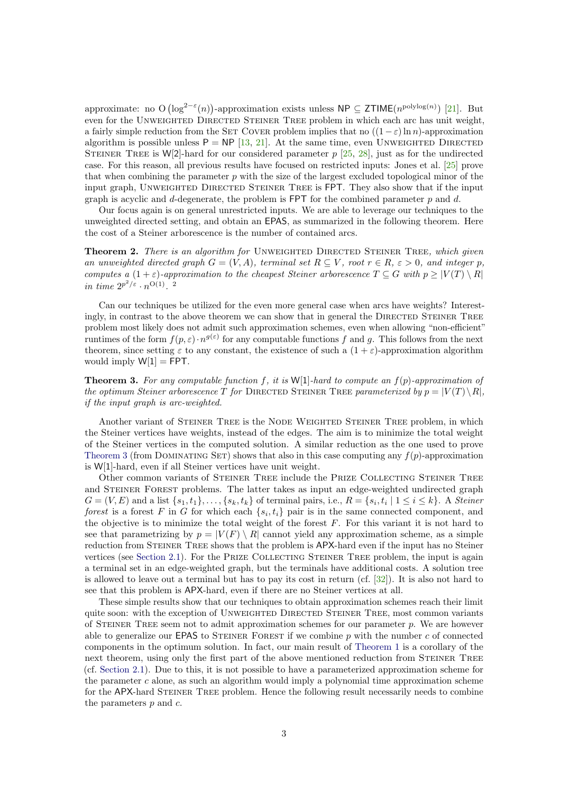approximate: no O  $(\log^{2-\epsilon}(n))$ -approximation exists unless NP  $\subseteq$  ZTIME $(n^{\text{polylog}(n)})$  [\[21\]](#page-22-5). But even for the UNWEIGHTED DIRECTED STEINER TREE problem in which each arc has unit weight, a fairly simple reduction from the SET COVER problem implies that no  $((1 - \varepsilon) \ln n)$ -approximation algorithm is possible unless  $P = NP$  [\[13,](#page-22-6) [21\]](#page-22-5). At the same time, even UNWEIGHTED DIRECTED STEINER TREE is W[2]-hard for our considered parameter  $p$  [\[25,](#page-23-3) [28\]](#page-23-6), just as for the undirected case. For this reason, all previous results have focused on restricted inputs: Jones et al. [\[25\]](#page-23-3) prove that when combining the parameter  $p$  with the size of the largest excluded topological minor of the input graph, Unweighted Directed Steiner Tree is FPT. They also show that if the input graph is acyclic and  $d$ -degenerate, the problem is FPT for the combined parameter  $p$  and  $d$ .

Our focus again is on general unrestricted inputs. We are able to leverage our techniques to the unweighted directed setting, and obtain an EPAS, as summarized in the following theorem. Here the cost of a Steiner arborescence is the number of contained arcs.

<span id="page-2-2"></span>Theorem 2. There is an algorithm for UNWEIGHTED DIRECTED STEINER TREE, which given an unweighted directed graph  $G = (V, A)$ , terminal set  $R \subseteq V$ , root  $r \in R$ ,  $\varepsilon > 0$ , and integer p, computes a  $(1+\varepsilon)$ -approximation to the cheapest Steiner arborescence  $T \subseteq G$  with  $p \geq |V(T) \setminus R|$ in time  $2^{p^2/\varepsilon} \cdot n^{\mathcal{O}(1)}$ . 2

Can our techniques be utilized for the even more general case when arcs have weights? Interestingly, in contrast to the above theorem we can show that in general the DIRECTED STEINER TREE problem most likely does not admit such approximation schemes, even when allowing "non-efficient" runtimes of the form  $f(p,\varepsilon) \cdot n^{g(\varepsilon)}$  for any computable functions f and g. This follows from the next theorem, since setting  $\varepsilon$  to any constant, the existence of such a  $(1 + \varepsilon)$ -approximation algorithm would imply  $W[1] = FPT$ .

<span id="page-2-0"></span>**Theorem 3.** For any computable function f, it is  $W[1]$ -hard to compute an  $f(p)$ -approximation of the optimum Steiner arborescence T for DIRECTED STEINER TREE parameterized by  $p = |V(T) \setminus R|$ , if the input graph is arc-weighted.

Another variant of STEINER TREE is the NODE WEIGHTED STEINER TREE problem, in which the Steiner vertices have weights, instead of the edges. The aim is to minimize the total weight of the Steiner vertices in the computed solution. A similar reduction as the one used to prove [Theorem 3](#page-2-0) (from DOMINATING SET) shows that also in this case computing any  $f(p)$ -approximation is W[1]-hard, even if all Steiner vertices have unit weight.

Other common variants of Steiner Tree include the Prize Collecting Steiner Tree and Steiner Forest problems. The latter takes as input an edge-weighted undirected graph  $G = (V, E)$  and a list  $\{s_1, t_1\}, \ldots, \{s_k, t_k\}$  of terminal pairs, i.e.,  $R = \{s_i, t_i \mid 1 \le i \le k\}$ . A *Steiner* forest is a forest F in G for which each  $\{s_i, t_i\}$  pair is in the same connected component, and the objective is to minimize the total weight of the forest  $F$ . For this variant it is not hard to see that parametrizing by  $p = |V(F) \setminus R|$  cannot yield any approximation scheme, as a simple reduction from STEINER TREE shows that the problem is APX-hard even if the input has no Steiner vertices (see [Section 2.1\)](#page-6-0). For the PRIZE COLLECTING STEINER TREE problem, the input is again a terminal set in an edge-weighted graph, but the terminals have additional costs. A solution tree is allowed to leave out a terminal but has to pay its cost in return (cf. [\[32\]](#page-23-2)). It is also not hard to see that this problem is APX-hard, even if there are no Steiner vertices at all.

<span id="page-2-1"></span>These simple results show that our techniques to obtain approximation schemes reach their limit quite soon: with the exception of UNWEIGHTED DIRECTED STEINER TREE, most common variants of STEINER TREE seem not to admit approximation schemes for our parameter  $p$ . We are however able to generalize our EPAS to STEINER FOREST if we combine  $p$  with the number  $c$  of connected components in the optimum solution. In fact, our main result of [Theorem 1](#page-1-2) is a corollary of the next theorem, using only the first part of the above mentioned reduction from STEINER TREE (cf. [Section 2.1\)](#page-6-0). Due to this, it is not possible to have a parameterized approximation scheme for the parameter  $c$  alone, as such an algorithm would imply a polynomial time approximation scheme for the APX-hard STEINER TREE problem. Hence the following result necessarily needs to combine the parameters  $p$  and  $c$ .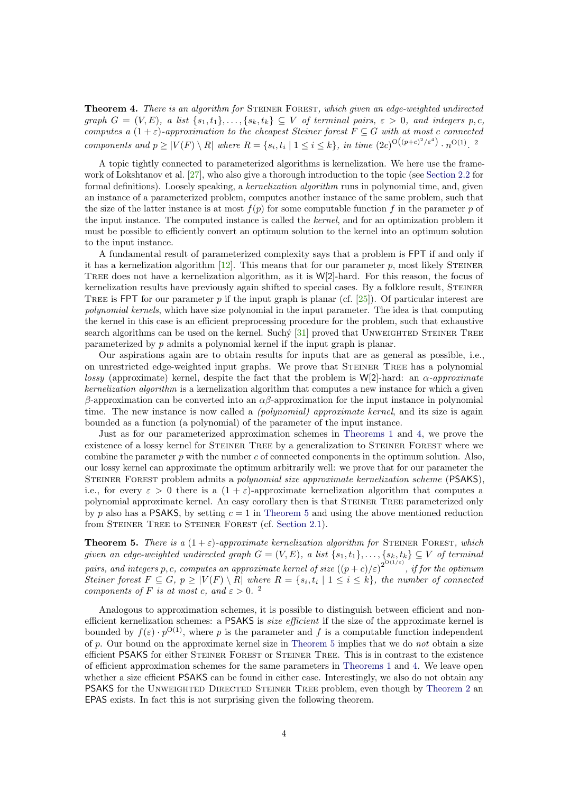**Theorem 4.** There is an algorithm for STEINER FOREST, which given an edge-weighted undirected graph  $G = (V, E)$ , a list  $\{s_1, t_1\}, \ldots, \{s_k, t_k\} \subseteq V$  of terminal pairs,  $\varepsilon > 0$ , and integers p,c, computes a  $(1+\varepsilon)$ -approximation to the cheapest Steiner forest  $F \subseteq G$  with at most c connected components and  $p \ge |V(F) \setminus R|$  where  $R = \{s_i, t_i \mid 1 \le i \le k\}$ , in time  $(2c)^{O((p+c)^2/\varepsilon^4)} \cdot n^{O(1)}$ .

A topic tightly connected to parameterized algorithms is kernelization. We here use the framework of Lokshtanov et al. [\[27\]](#page-23-5), who also give a thorough introduction to the topic (see [Section 2.2](#page-6-1) for formal definitions). Loosely speaking, a kernelization algorithm runs in polynomial time, and, given an instance of a parameterized problem, computes another instance of the same problem, such that the size of the latter instance is at most  $f(p)$  for some computable function f in the parameter p of the input instance. The computed instance is called the kernel, and for an optimization problem it must be possible to efficiently convert an optimum solution to the kernel into an optimum solution to the input instance.

A fundamental result of parameterized complexity says that a problem is FPT if and only if it has a kernelization algorithm  $[12]$ . This means that for our parameter p, most likely STEINER Tree does not have a kernelization algorithm, as it is W[2]-hard. For this reason, the focus of kernelization results have previously again shifted to special cases. By a folklore result, STEINER TREE is FPT for our parameter p if the input graph is planar (cf.  $[25]$ ). Of particular interest are polynomial kernels, which have size polynomial in the input parameter. The idea is that computing the kernel in this case is an efficient preprocessing procedure for the problem, such that exhaustive search algorithms can be used on the kernel. Suchy  $[31]$  proved that UNWEIGHTED STEINER TREE parameterized by p admits a polynomial kernel if the input graph is planar.

Our aspirations again are to obtain results for inputs that are as general as possible, i.e., on unrestricted edge-weighted input graphs. We prove that Steiner Tree has a polynomial *lossy* (approximate) kernel, despite the fact that the problem is W[2]-hard: an  $\alpha$ -approximate kernelization algorithm is a kernelization algorithm that computes a new instance for which a given β-approximation can be converted into an  $\alpha$ β-approximation for the input instance in polynomial time. The new instance is now called a *(polynomial) approximate kernel*, and its size is again bounded as a function (a polynomial) of the parameter of the input instance.

Just as for our parameterized approximation schemes in [Theorems 1](#page-1-2) and [4,](#page-2-1) we prove the existence of a lossy kernel for Steiner Tree by a generalization to Steiner Forest where we combine the parameter  $p$  with the number  $c$  of connected components in the optimum solution. Also, our lossy kernel can approximate the optimum arbitrarily well: we prove that for our parameter the Steiner Forest problem admits a polynomial size approximate kernelization scheme (PSAKS), i.e., for every  $\varepsilon > 0$  there is a  $(1 + \varepsilon)$ -approximate kernelization algorithm that computes a polynomial approximate kernel. An easy corollary then is that Steiner Tree parameterized only by p also has a PSAKS, by setting  $c = 1$  in [Theorem 5](#page-3-0) and using the above mentioned reduction from STEINER TREE to STEINER FOREST (cf. [Section 2.1\)](#page-6-0).

<span id="page-3-0"></span>**Theorem 5.** There is a  $(1+\varepsilon)$ -approximate kernelization algorithm for STEINER FOREST, which given an edge-weighted undirected graph  $G = (V, E)$ , a list  $\{s_1, t_1\}, \ldots, \{s_k, t_k\} \subseteq V$  of terminal pairs, and integers p, c, computes an approximate kernel of size  $((p+c)/\varepsilon)^{2^{\text{O}(1/\varepsilon)} }$ , if for the optimum Steiner forest  $F \subseteq G$ ,  $p \ge |V(F) \setminus R|$  where  $R = \{s_i, t_i \mid 1 \le i \le k\}$ , the number of connected components of F is at most c, and  $\varepsilon > 0$ .<sup>2</sup>

<span id="page-3-1"></span>Analogous to approximation schemes, it is possible to distinguish between efficient and nonefficient kernelization schemes: a PSAKS is *size efficient* if the size of the approximate kernel is bounded by  $f(\varepsilon) \cdot p^{\mathcal{O}(1)}$ , where p is the parameter and f is a computable function independent of p. Our bound on the approximate kernel size in [Theorem 5](#page-3-0) implies that we do not obtain a size efficient PSAKS for either Steiner Forest or Steiner Tree. This is in contrast to the existence of efficient approximation schemes for the same parameters in [Theorems 1](#page-1-2) and [4.](#page-2-1) We leave open whether a size efficient PSAKS can be found in either case. Interestingly, we also do not obtain any PSAKS for the Unweighted Directed Steiner Tree problem, even though by [Theorem 2](#page-2-2) an EPAS exists. In fact this is not surprising given the following theorem.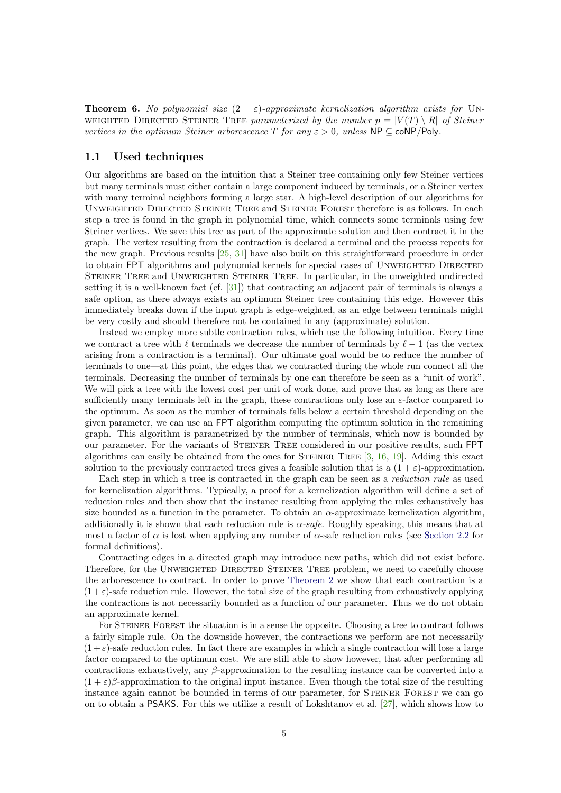**Theorem 6.** No polynomial size  $(2 - \varepsilon)$ -approximate kernelization algorithm exists for UN-WEIGHTED DIRECTED STEINER TREE parameterized by the number  $p = |V(T) \setminus R|$  of Steiner vertices in the optimum Steiner arborescence T for any  $\varepsilon > 0$ , unless NP  $\subset$  coNP/Poly.

#### 1.1 Used techniques

Our algorithms are based on the intuition that a Steiner tree containing only few Steiner vertices but many terminals must either contain a large component induced by terminals, or a Steiner vertex with many terminal neighbors forming a large star. A high-level description of our algorithms for Unweighted Directed Steiner Tree and Steiner Forest therefore is as follows. In each step a tree is found in the graph in polynomial time, which connects some terminals using few Steiner vertices. We save this tree as part of the approximate solution and then contract it in the graph. The vertex resulting from the contraction is declared a terminal and the process repeats for the new graph. Previous results [\[25,](#page-23-3) [31\]](#page-23-4) have also built on this straightforward procedure in order to obtain FPT algorithms and polynomial kernels for special cases of UNWEIGHTED DIRECTED Steiner Tree and Unweighted Steiner Tree. In particular, in the unweighted undirected setting it is a well-known fact (cf. [\[31\]](#page-23-4)) that contracting an adjacent pair of terminals is always a safe option, as there always exists an optimum Steiner tree containing this edge. However this immediately breaks down if the input graph is edge-weighted, as an edge between terminals might be very costly and should therefore not be contained in any (approximate) solution.

Instead we employ more subtle contraction rules, which use the following intuition. Every time we contract a tree with  $\ell$  terminals we decrease the number of terminals by  $\ell - 1$  (as the vertex arising from a contraction is a terminal). Our ultimate goal would be to reduce the number of terminals to one—at this point, the edges that we contracted during the whole run connect all the terminals. Decreasing the number of terminals by one can therefore be seen as a "unit of work". We will pick a tree with the lowest cost per unit of work done, and prove that as long as there are sufficiently many terminals left in the graph, these contractions only lose an  $\varepsilon$ -factor compared to the optimum. As soon as the number of terminals falls below a certain threshold depending on the given parameter, we can use an FPT algorithm computing the optimum solution in the remaining graph. This algorithm is parametrized by the number of terminals, which now is bounded by our parameter. For the variants of Steiner Tree considered in our positive results, such FPT algorithms can easily be obtained from the ones for STEINER TREE  $[3, 16, 19]$  $[3, 16, 19]$  $[3, 16, 19]$  $[3, 16, 19]$  $[3, 16, 19]$ . Adding this exact solution to the previously contracted trees gives a feasible solution that is a  $(1 + \varepsilon)$ -approximation.

Each step in which a tree is contracted in the graph can be seen as a reduction rule as used for kernelization algorithms. Typically, a proof for a kernelization algorithm will define a set of reduction rules and then show that the instance resulting from applying the rules exhaustively has size bounded as a function in the parameter. To obtain an  $\alpha$ -approximate kernelization algorithm, additionally it is shown that each reduction rule is  $\alpha$ -safe. Roughly speaking, this means that at most a factor of  $\alpha$  is lost when applying any number of  $\alpha$ -safe reduction rules (see [Section 2.2](#page-6-1) for formal definitions).

Contracting edges in a directed graph may introduce new paths, which did not exist before. Therefore, for the UNWEIGHTED DIRECTED STEINER TREE problem, we need to carefully choose the arborescence to contract. In order to prove [Theorem 2](#page-2-2) we show that each contraction is a  $(1+\varepsilon)$ -safe reduction rule. However, the total size of the graph resulting from exhaustively applying the contractions is not necessarily bounded as a function of our parameter. Thus we do not obtain an approximate kernel.

For STEINER FOREST the situation is in a sense the opposite. Choosing a tree to contract follows a fairly simple rule. On the downside however, the contractions we perform are not necessarily  $(1+\varepsilon)$ -safe reduction rules. In fact there are examples in which a single contraction will lose a large factor compared to the optimum cost. We are still able to show however, that after performing all contractions exhaustively, any  $\beta$ -approximation to the resulting instance can be converted into a  $(1 + \varepsilon)\beta$ -approximation to the original input instance. Even though the total size of the resulting instance again cannot be bounded in terms of our parameter, for STEINER FOREST we can go on to obtain a PSAKS. For this we utilize a result of Lokshtanov et al. [\[27\]](#page-23-5), which shows how to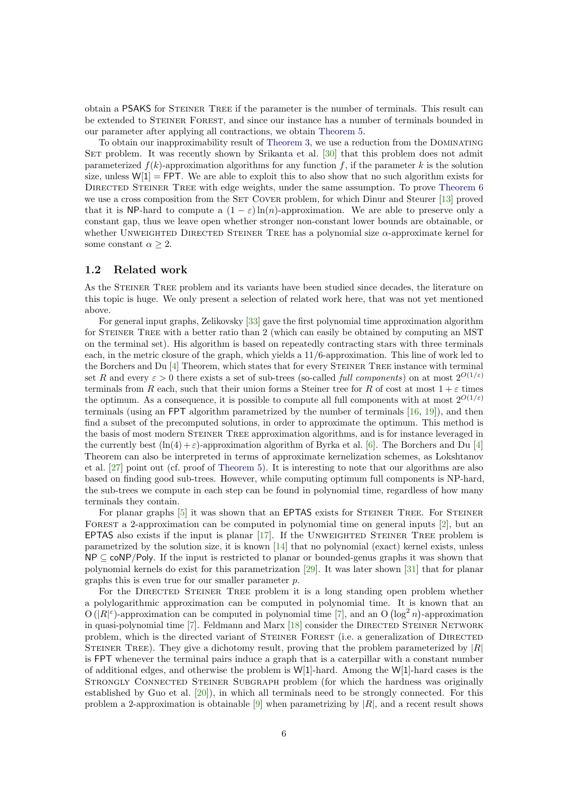obtain a PSAKS for Steiner Tree if the parameter is the number of terminals. This result can be extended to Steiner Forest, and since our instance has a number of terminals bounded in our parameter after applying all contractions, we obtain [Theorem 5.](#page-3-0)

To obtain our inapproximability result of [Theorem 3,](#page-2-0) we use a reduction from the Dominating SET problem. It was recently shown by Srikanta et al. [\[30\]](#page-23-7) that this problem does not admit parameterized  $f(k)$ -approximation algorithms for any function f, if the parameter k is the solution size, unless  $W[1] = FPT$ . We are able to exploit this to also show that no such algorithm exists for DIRECTED STEINER TREE with edge weights, under the same assumption. To prove [Theorem 6](#page-3-1) we use a cross composition from the SET COVER problem, for which Dinur and Steurer [\[13\]](#page-22-6) proved that it is NP-hard to compute a  $(1 - \varepsilon) \ln(n)$ -approximation. We are able to preserve only a constant gap, thus we leave open whether stronger non-constant lower bounds are obtainable, or whether UNWEIGHTED DIRECTED STEINER TREE has a polynomial size α-approximate kernel for some constant  $\alpha > 2$ .

### <span id="page-5-0"></span>1.2 Related work

As the STEINER TREE problem and its variants have been studied since decades, the literature on this topic is huge. We only present a selection of related work here, that was not yet mentioned above.

For general input graphs, Zelikovsky [\[33\]](#page-23-8) gave the first polynomial time approximation algorithm for Steiner Tree with a better ratio than 2 (which can easily be obtained by computing an MST on the terminal set). His algorithm is based on repeatedly contracting stars with three terminals each, in the metric closure of the graph, which yields a 11/6-approximation. This line of work led to the Borchers and Du [\[4\]](#page-21-2) Theorem, which states that for every Steiner Tree instance with terminal set R and every  $\varepsilon > 0$  there exists a set of sub-trees (so-called *full components*) on at most  $2^{O(1/\varepsilon)}$ terminals from R each, such that their union forms a Steiner tree for R of cost at most  $1+\varepsilon$  times the optimum. As a consequence, it is possible to compute all full components with at most  $2^{O(1/\varepsilon)}$ terminals (using an FPT algorithm parametrized by the number of terminals [\[16,](#page-22-2) [19\]](#page-22-3)), and then find a subset of the precomputed solutions, in order to approximate the optimum. This method is the basis of most modern STEINER TREE approximation algorithms, and is for instance leveraged in the currently best  $(\ln(4) + \varepsilon)$ -approximation algorithm of Byrka et al. [\[6\]](#page-21-0). The Borchers and Du [\[4\]](#page-21-2) Theorem can also be interpreted in terms of approximate kernelization schemes, as Lokshtanov et al. [\[27\]](#page-23-5) point out (cf. proof of [Theorem 5\)](#page-3-0). It is interesting to note that our algorithms are also based on finding good sub-trees. However, while computing optimum full components is NP-hard, the sub-trees we compute in each step can be found in polynomial time, regardless of how many terminals they contain.

For planar graphs [\[5\]](#page-21-3) it was shown that an EPTAS exists for STEINER TREE. For STEINER FOREST a 2-approximation can be computed in polynomial time on general inputs [\[2\]](#page-21-4), but an EPTAS also exists if the input is planar  $[17]$ . If the UNWEIGHTED STEINER TREE problem is parametrized by the solution size, it is known [\[14\]](#page-22-8) that no polynomial (exact) kernel exists, unless  $NP \subseteq \text{coNP}/Poly$ . If the input is restricted to planar or bounded-genus graphs it was shown that polynomial kernels do exist for this parametrization [\[29\]](#page-23-9). It was later shown [\[31\]](#page-23-4) that for planar graphs this is even true for our smaller parameter  $p$ .

For the DIRECTED STEINER TREE problem it is a long standing open problem whether a polylogarithmic approximation can be computed in polynomial time. It is known that an  $O(|R|^{\epsilon})$ -approximation can be computed in polynomial time [\[7\]](#page-22-9), and an  $O(\log^2 n)$ -approximation in quasi-polynomial time [\[7\]](#page-22-9). Feldmann and Marx [\[18\]](#page-22-10) consider the DIRECTED STEINER NETWORK problem, which is the directed variant of STEINER FOREST (i.e. a generalization of DIRECTED STEINER TREE). They give a dichotomy result, proving that the problem parameterized by  $|R|$ is FPT whenever the terminal pairs induce a graph that is a caterpillar with a constant number of additional edges, and otherwise the problem is  $W[1]$ -hard. Among the  $W[1]$ -hard cases is the STRONGLY CONNECTED STEINER SUBGRAPH problem (for which the hardness was originally established by Guo et al. [\[20\]](#page-22-11)), in which all terminals need to be strongly connected. For this problem a 2-approximation is obtainable [\[9\]](#page-22-12) when parametrizing by  $|R|$ , and a recent result shows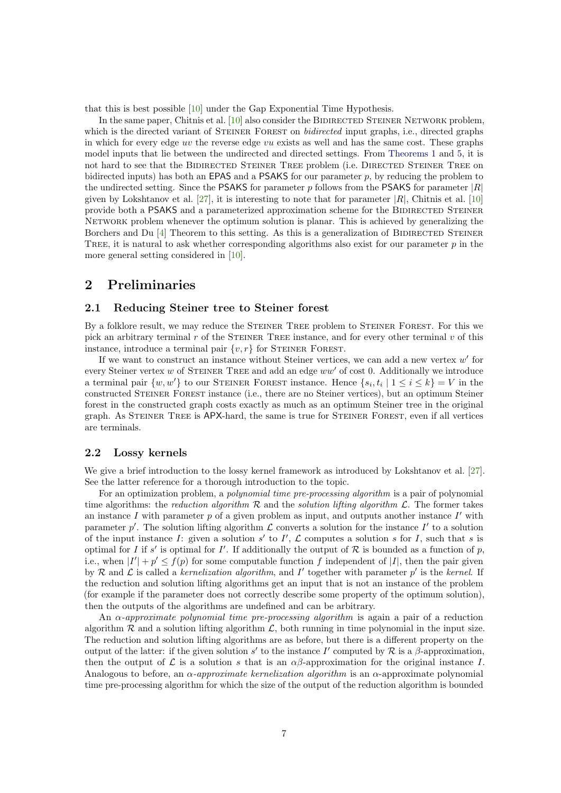that this is best possible [\[10\]](#page-22-13) under the Gap Exponential Time Hypothesis.

In the same paper, Chitnis et al.  $[10]$  also consider the BIDIRECTED STEINER NETWORK problem, which is the directed variant of STEINER FOREST on *bidirected* input graphs, i.e., directed graphs in which for every edge uv the reverse edge vu exists as well and has the same cost. These graphs model inputs that lie between the undirected and directed settings. From [Theorems 1](#page-1-2) and [5,](#page-3-0) it is not hard to see that the BIDIRECTED STEINER TREE problem (i.e. DIRECTED STEINER TREE on bidirected inputs) has both an **EPAS** and a **PSAKS** for our parameter  $p$ , by reducing the problem to the undirected setting. Since the PSAKS for parameter p follows from the PSAKS for parameter  $|R|$ given by Lokshtanov et al.  $[27]$ , it is interesting to note that for parameter  $|R|$ , Chitnis et al.  $[10]$ provide both a PSAKS and a parameterized approximation scheme for the BIDIRECTED STEINER Network problem whenever the optimum solution is planar. This is achieved by generalizing the Borchers and Du  $[4]$  Theorem to this setting. As this is a generalization of BIDIRECTED STEINER TREE, it is natural to ask whether corresponding algorithms also exist for our parameter  $p$  in the more general setting considered in [\[10\]](#page-22-13).

### 2 Preliminaries

#### <span id="page-6-0"></span>2.1 Reducing Steiner tree to Steiner forest

By a folklore result, we may reduce the STEINER TREE problem to STEINER FOREST. For this we pick an arbitrary terminal  $r$  of the STEINER TREE instance, and for every other terminal  $v$  of this instance, introduce a terminal pair  $\{v, r\}$  for STEINER FOREST.

If we want to construct an instance without Steiner vertices, we can add a new vertex  $w'$  for every Steiner vertex  $w$  of STEINER TREE and add an edge  $ww'$  of cost 0. Additionally we introduce a terminal pair  $\{w, w'\}$  to our STEINER FOREST instance. Hence  $\{s_i, t_i \mid 1 \le i \le k\} = V$  in the constructed Steiner Forest instance (i.e., there are no Steiner vertices), but an optimum Steiner forest in the constructed graph costs exactly as much as an optimum Steiner tree in the original graph. As STEINER TREE is APX-hard, the same is true for STEINER FOREST, even if all vertices are terminals.

### <span id="page-6-1"></span>2.2 Lossy kernels

We give a brief introduction to the lossy kernel framework as introduced by Lokshtanov et al. [\[27\]](#page-23-5). See the latter reference for a thorough introduction to the topic.

For an optimization problem, a polynomial time pre-processing algorithm is a pair of polynomial time algorithms: the reduction algorithm  $R$  and the solution lifting algorithm  $\mathcal{L}$ . The former takes an instance  $I$  with parameter  $p$  of a given problem as input, and outputs another instance  $I'$  with parameter  $p'$ . The solution lifting algorithm  $\mathcal L$  converts a solution for the instance  $I'$  to a solution of the input instance I: given a solution  $s'$  to I',  $\mathcal L$  computes a solution s for I, such that s is optimal for I if s' is optimal for I'. If additionally the output of  $R$  is bounded as a function of p, i.e., when  $|I'| + p' \leq f(p)$  for some computable function f independent of |I|, then the pair given by R and L is called a kernelization algorithm, and I' together with parameter  $p'$  is the kernel. If the reduction and solution lifting algorithms get an input that is not an instance of the problem (for example if the parameter does not correctly describe some property of the optimum solution), then the outputs of the algorithms are undefined and can be arbitrary.

An  $\alpha$ -approximate polynomial time pre-processing algorithm is again a pair of a reduction algorithm  $R$  and a solution lifting algorithm  $\mathcal{L}$ , both running in time polynomial in the input size. The reduction and solution lifting algorithms are as before, but there is a different property on the output of the latter: if the given solution s' to the instance I' computed by  $\mathcal R$  is a  $\beta$ -approximation, then the output of  $\mathcal L$  is a solution s that is an  $\alpha\beta$ -approximation for the original instance I. Analogous to before, an  $\alpha$ -approximate kernelization algorithm is an  $\alpha$ -approximate polynomial time pre-processing algorithm for which the size of the output of the reduction algorithm is bounded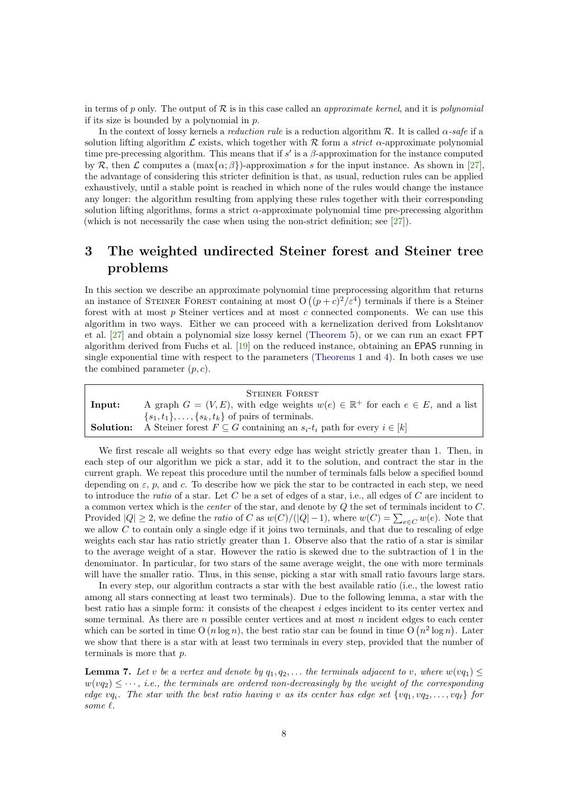in terms of p only. The output of  $R$  is in this case called an *approximate kernel*, and it is *polynomial* if its size is bounded by a polynomial in  $p$ .

In the context of lossy kernels a *reduction rule* is a reduction algorithm  $\mathcal{R}$ . It is called  $\alpha$ -safe if a solution lifting algorithm L exists, which together with R form a *strict*  $\alpha$ -approximate polynomial time pre-precessing algorithm. This means that if  $s'$  is a  $\beta$ -approximation for the instance computed by R, then L computes a  $(\max{\alpha;\beta})$ -approximation s for the input instance. As shown in [\[27\]](#page-23-5), the advantage of considering this stricter definition is that, as usual, reduction rules can be applied exhaustively, until a stable point is reached in which none of the rules would change the instance any longer: the algorithm resulting from applying these rules together with their corresponding solution lifting algorithms, forms a strict  $\alpha$ -approximate polynomial time pre-precessing algorithm (which is not necessarily the case when using the non-strict definition; see [\[27\]](#page-23-5)).

## 3 The weighted undirected Steiner forest and Steiner tree problems

In this section we describe an approximate polynomial time preprocessing algorithm that returns an instance of STEINER FOREST containing at most  $O((p+c)^2/\varepsilon^4)$  terminals if there is a Steiner forest with at most  $p$  Steiner vertices and at most  $c$  connected components. We can use this algorithm in two ways. Either we can proceed with a kernelization derived from Lokshtanov et al. [\[27\]](#page-23-5) and obtain a polynomial size lossy kernel [\(Theorem 5\)](#page-3-0), or we can run an exact FPT algorithm derived from Fuchs et al. [\[19\]](#page-22-3) on the reduced instance, obtaining an EPAS running in single exponential time with respect to the parameters [\(Theorems 1](#page-1-2) and [4\)](#page-2-1). In both cases we use the combined parameter  $(p, c)$ .

|        | <b>STEINER FOREST</b>                                                                                    |
|--------|----------------------------------------------------------------------------------------------------------|
| lnput: | A graph $G = (V, E)$ , with edge weights $w(e) \in \mathbb{R}^+$ for each $e \in E$ , and a list         |
|        | $\{s_1, t_1\}, \ldots, \{s_k, t_k\}$ of pairs of terminals.                                              |
|        | <b>Solution:</b> A Steiner forest $F \subseteq G$ containing an $s_i$ - $t_i$ path for every $i \in [k]$ |

We first rescale all weights so that every edge has weight strictly greater than 1. Then, in each step of our algorithm we pick a star, add it to the solution, and contract the star in the current graph. We repeat this procedure until the number of terminals falls below a specified bound depending on  $\varepsilon$ , p, and c. To describe how we pick the star to be contracted in each step, we need to introduce the ratio of a star. Let  $C$  be a set of edges of a star, i.e., all edges of  $C$  are incident to a common vertex which is the center of the star, and denote by Q the set of terminals incident to C. Provided  $|Q| \ge 2$ , we define the *ratio* of C as  $w(C)/(|Q|-1)$ , where  $w(C) = \sum_{e \in C} w(e)$ . Note that we allow  $C$  to contain only a single edge if it joins two terminals, and that due to rescaling of edge weights each star has ratio strictly greater than 1. Observe also that the ratio of a star is similar to the average weight of a star. However the ratio is skewed due to the subtraction of 1 in the denominator. In particular, for two stars of the same average weight, the one with more terminals will have the smaller ratio. Thus, in this sense, picking a star with small ratio favours large stars.

In every step, our algorithm contracts a star with the best available ratio (i.e., the lowest ratio among all stars connecting at least two terminals). Due to the following lemma, a star with the best ratio has a simple form: it consists of the cheapest  $i$  edges incident to its center vertex and some terminal. As there are  $n$  possible center vertices and at most  $n$  incident edges to each center which can be sorted in time O  $(n \log n)$ , the best ratio star can be found in time O  $(n^2 \log n)$ . Later we show that there is a star with at least two terminals in every step, provided that the number of terminals is more that  $p$ .

<span id="page-7-0"></span>**Lemma 7.** Let v be a vertex and denote by  $q_1, q_2, \ldots$  the terminals adjacent to v, where  $w(vq_1) \leq$  $w(vq_2) \leq \cdots$ , i.e., the terminals are ordered non-decreasingly by the weight of the corresponding edge vq<sub>i</sub>. The star with the best ratio having v as its center has edge set  $\{v_1, v_2, \ldots, v_{\varphi}\}$  for some  $\ell$ .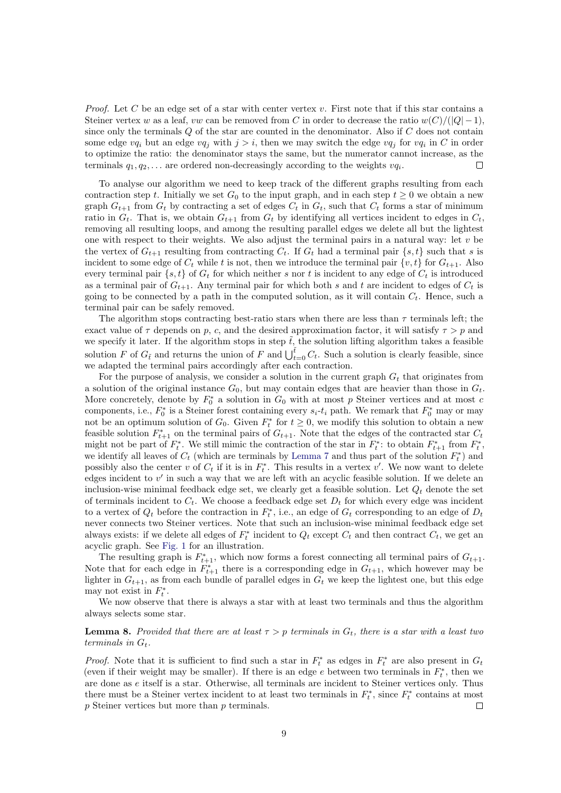*Proof.* Let C be an edge set of a star with center vertex v. First note that if this star contains a Steiner vertex w as a leaf, vw can be removed from C in order to decrease the ratio  $w(C)/(|Q|-1)$ , since only the terminals  $Q$  of the star are counted in the denominator. Also if  $C$  does not contain some edge  $vq_i$  but an edge  $vq_j$  with  $j > i$ , then we may switch the edge  $vq_j$  for  $vq_i$  in C in order to optimize the ratio: the denominator stays the same, but the numerator cannot increase, as the terminals  $q_1, q_2, \ldots$  are ordered non-decreasingly according to the weights  $v q_i$ .  $\Box$ 

To analyse our algorithm we need to keep track of the different graphs resulting from each contraction step t. Initially we set  $G_0$  to the input graph, and in each step  $t > 0$  we obtain a new graph  $G_{t+1}$  from  $G_t$  by contracting a set of edges  $C_t$  in  $G_t$ , such that  $C_t$  forms a star of minimum ratio in  $G_t$ . That is, we obtain  $G_{t+1}$  from  $G_t$  by identifying all vertices incident to edges in  $C_t$ , removing all resulting loops, and among the resulting parallel edges we delete all but the lightest one with respect to their weights. We also adjust the terminal pairs in a natural way: let  $v$  be the vertex of  $G_{t+1}$  resulting from contracting  $C_t$ . If  $G_t$  had a terminal pair  $\{s, t\}$  such that s is incident to some edge of  $C_t$  while t is not, then we introduce the terminal pair  $\{v, t\}$  for  $G_{t+1}$ . Also every terminal pair  $\{s, t\}$  of  $G_t$  for which neither s nor t is incident to any edge of  $C_t$  is introduced as a terminal pair of  $G_{t+1}$ . Any terminal pair for which both s and t are incident to edges of  $C_t$  is going to be connected by a path in the computed solution, as it will contain  $C_t$ . Hence, such a terminal pair can be safely removed.

The algorithm stops contracting best-ratio stars when there are less than  $\tau$  terminals left; the exact value of  $\tau$  depends on p, c, and the desired approximation factor, it will satisfy  $\tau > p$  and we specify it later. If the algorithm stops in step  $\tilde{t}$ , the solution lifting algorithm takes a feasible solution F of  $G_{\tilde{t}}$  and returns the union of F and  $\bigcup_{t=0}^{\tilde{t}} C_t$ . Such a solution is clearly feasible, since we adapted the terminal pairs accordingly after each contraction.

For the purpose of analysis, we consider a solution in the current graph  $G_t$  that originates from a solution of the original instance  $G_0$ , but may contain edges that are heavier than those in  $G_t$ . More concretely, denote by  $F_0^*$  a solution in  $G_0$  with at most p Steiner vertices and at most c components, i.e.,  $F_0^*$  is a Steiner forest containing every  $s_i-t_i$  path. We remark that  $F_0^*$  may or may not be an optimum solution of  $G_0$ . Given  $F_t^*$  for  $t \geq 0$ , we modify this solution to obtain a new feasible solution  $F_{t+1}^*$  on the terminal pairs of  $G_{t+1}$ . Note that the edges of the contracted star  $C_t$ might not be part of  $F_t^*$ . We still mimic the contraction of the star in  $F_t^*$ : to obtain  $F_{t+1}^*$  from  $F_t^*$ , we identify all leaves of  $C_t$  (which are terminals by [Lemma 7](#page-7-0) and thus part of the solution  $F_t^*$ ) and possibly also the center v of  $C_t$  if it is in  $F_t^*$ . This results in a vertex v'. We now want to delete edges incident to  $v'$  in such a way that we are left with an acyclic feasible solution. If we delete an inclusion-wise minimal feedback edge set, we clearly get a feasible solution. Let  $Q_t$  denote the set of terminals incident to  $C_t$ . We choose a feedback edge set  $D_t$  for which every edge was incident to a vertex of  $Q_t$  before the contraction in  $F_t^*$ , i.e., an edge of  $G_t$  corresponding to an edge of  $D_t$ never connects two Steiner vertices. Note that such an inclusion-wise minimal feedback edge set always exists: if we delete all edges of  $F_t^*$  incident to  $Q_t$  except  $C_t$  and then contract  $C_t$ , we get an acyclic graph. See [Fig. 1](#page-9-0) for an illustration.

The resulting graph is  $F_{t+1}^*$ , which now forms a forest connecting all terminal pairs of  $G_{t+1}$ . Note that for each edge in  $F_{t+1}^*$  there is a corresponding edge in  $G_{t+1}$ , which however may be lighter in  $G_{t+1}$ , as from each bundle of parallel edges in  $G_t$  we keep the lightest one, but this edge may not exist in  $F_t^*$ .

We now observe that there is always a star with at least two terminals and thus the algorithm always selects some star.

### <span id="page-8-0"></span>**Lemma 8.** Provided that there are at least  $\tau > p$  terminals in  $G_t$ , there is a star with a least two terminals in  $G_t$ .

*Proof.* Note that it is sufficient to find such a star in  $F_t^*$  as edges in  $F_t^*$  are also present in  $G_t$ (even if their weight may be smaller). If there is an edge  $e$  between two terminals in  $F_t^*$ , then we are done as e itself is a star. Otherwise, all terminals are incident to Steiner vertices only. Thus there must be a Steiner vertex incident to at least two terminals in  $F_t^*$ , since  $F_t^*$  contains at most p Steiner vertices but more than p terminals.  $\Box$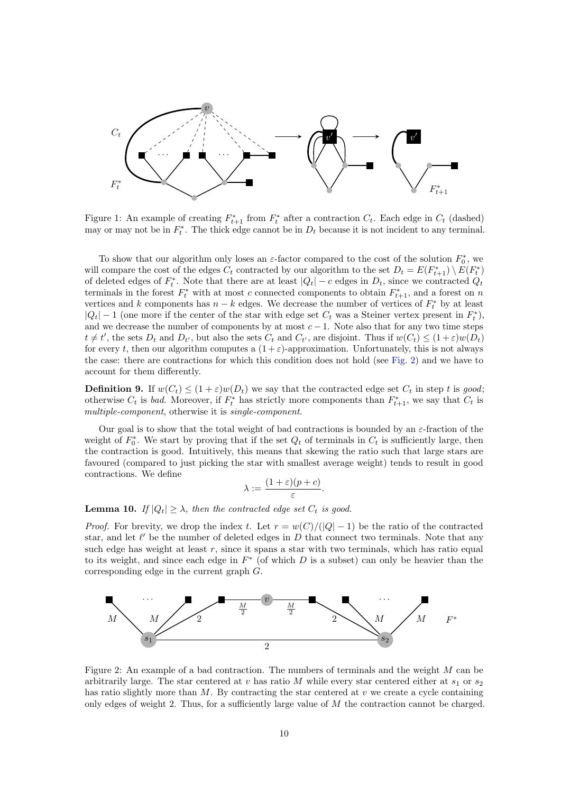

<span id="page-9-0"></span>Figure 1: An example of creating  $F_{t+1}^*$  from  $F_t^*$  after a contraction  $C_t$ . Each edge in  $C_t$  (dashed) may or may not be in  $F_t^*$ . The thick edge cannot be in  $D_t$  because it is not incident to any terminal.

To show that our algorithm only loses an  $\varepsilon$ -factor compared to the cost of the solution  $F_0^*$ , we will compare the cost of the edges  $C_t$  contracted by our algorithm to the set  $D_t = E(F_{t+1}^*) \setminus E(F_t^*)$ of deleted edges of  $F_t^*$ . Note that there are at least  $|Q_t| - c$  edges in  $D_t$ , since we contracted  $Q_t$ terminals in the forest  $F_t^*$  with at most c connected components to obtain  $F_{t+1}^*$ , and a forest on n vertices and k components has  $n - k$  edges. We decrease the number of vertices of  $F_t^*$  by at least  $|Q_t| - 1$  (one more if the center of the star with edge set  $C_t$  was a Steiner vertex present in  $F_t^*$ ), and we decrease the number of components by at most  $c - 1$ . Note also that for any two time steps  $t \neq t'$ , the sets  $D_t$  and  $D_{t'}$ , but also the sets  $C_t$  and  $C_{t'}$ , are disjoint. Thus if  $w(C_t) \leq (1+\varepsilon)w(D_t)$ for every t, then our algorithm computes a  $(1+\varepsilon)$ -approximation. Unfortunately, this is not always the case: there are contractions for which this condition does not hold (see [Fig. 2\)](#page-9-1) and we have to account for them differently.

**Definition 9.** If  $w(C_t) \leq (1+\varepsilon)w(D_t)$  we say that the contracted edge set  $C_t$  in step t is good; otherwise  $C_t$  is bad. Moreover, if  $F_t^*$  has strictly more components than  $F_{t+1}^*$ , we say that  $C_t$  is multiple-component, otherwise it is single-component.

Our goal is to show that the total weight of bad contractions is bounded by an  $\varepsilon$ -fraction of the weight of  $F_0^*$ . We start by proving that if the set  $Q_t$  of terminals in  $C_t$  is sufficiently large, then the contraction is good. Intuitively, this means that skewing the ratio such that large stars are favoured (compared to just picking the star with smallest average weight) tends to result in good contractions. We define

$$
\lambda := \frac{(1+\varepsilon)(p+c)}{\varepsilon}.
$$

<span id="page-9-2"></span>**Lemma 10.** If  $|Q_t| \geq \lambda$ , then the contracted edge set  $C_t$  is good.

*Proof.* For brevity, we drop the index t. Let  $r = w(C)/(|Q|-1)$  be the ratio of the contracted star, and let  $\ell'$  be the number of deleted edges in  $D$  that connect two terminals. Note that any such edge has weight at least  $r$ , since it spans a star with two terminals, which has ratio equal to its weight, and since each edge in  $F^*$  (of which D is a subset) can only be heavier than the corresponding edge in the current graph G.



<span id="page-9-1"></span>Figure 2: An example of a bad contraction. The numbers of terminals and the weight M can be arbitrarily large. The star centered at v has ratio M while every star centered either at  $s_1$  or  $s_2$ has ratio slightly more than  $M$ . By contracting the star centered at  $v$  we create a cycle containing only edges of weight 2. Thus, for a sufficiently large value of M the contraction cannot be charged.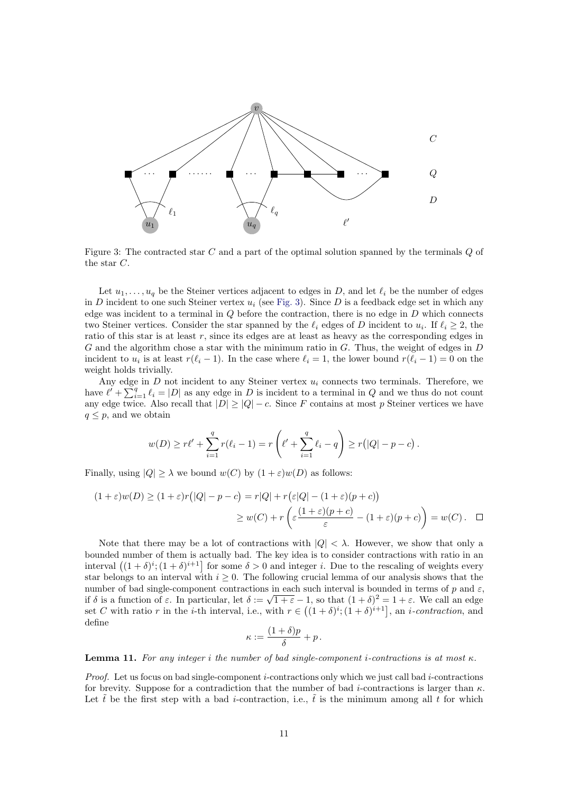

<span id="page-10-0"></span>Figure 3: The contracted star  $C$  and a part of the optimal solution spanned by the terminals  $Q$  of the star C.

Let  $u_1, \ldots, u_q$  be the Steiner vertices adjacent to edges in D, and let  $\ell_i$  be the number of edges in  $D$  incident to one such Steiner vertex  $u_i$  (see [Fig. 3\)](#page-10-0). Since  $D$  is a feedback edge set in which any edge was incident to a terminal in  $Q$  before the contraction, there is no edge in  $D$  which connects two Steiner vertices. Consider the star spanned by the  $\ell_i$  edges of D incident to  $u_i$ . If  $\ell_i \geq 2$ , the ratio of this star is at least r, since its edges are at least as heavy as the corresponding edges in  $G$  and the algorithm chose a star with the minimum ratio in  $G$ . Thus, the weight of edges in  $D$ incident to  $u_i$  is at least  $r(\ell_i - 1)$ . In the case where  $\ell_i = 1$ , the lower bound  $r(\ell_i - 1) = 0$  on the weight holds trivially.

Any edge in  $D$  not incident to any Steiner vertex  $u_i$  connects two terminals. Therefore, we have  $\ell' + \sum_{i=1}^{q} \ell_i = |D|$  as any edge in D is incident to a terminal in Q and we thus do not count any edge twice. Also recall that  $|D| \ge |Q| - c$ . Since F contains at most p Steiner vertices we have  $q \leq p$ , and we obtain

$$
w(D) \ge r\ell' + \sum_{i=1}^q r(\ell_i - 1) = r\left(\ell' + \sum_{i=1}^q \ell_i - q\right) \ge r(|Q| - p - c).
$$

Finally, using  $|Q| \geq \lambda$  we bound  $w(C)$  by  $(1 + \varepsilon)w(D)$  as follows:

$$
(1+\varepsilon)w(D) \ge (1+\varepsilon)r(|Q|-p-c) = r|Q| + r(\varepsilon|Q| - (1+\varepsilon)(p+c))
$$
  
 
$$
\ge w(C) + r\left(\varepsilon\frac{(1+\varepsilon)(p+c)}{\varepsilon} - (1+\varepsilon)(p+c)\right) = w(C). \quad \Box
$$

Note that there may be a lot of contractions with  $|Q| < \lambda$ . However, we show that only a bounded number of them is actually bad. The key idea is to consider contractions with ratio in an interval  $((1 + \delta)^i; (1 + \delta)^{i+1}]$  for some  $\delta > 0$  and integer *i*. Due to the rescaling of weights every star belongs to an interval with  $i \geq 0$ . The following crucial lemma of our analysis shows that the number of bad single-component contractions in each such interval is bounded in terms of p and  $\varepsilon$ , number of bad single-component contractions in each such interval is bounded in terms of p and  $\varepsilon$  if  $\delta$  is a function of  $\varepsilon$ . In particular, let  $\delta := \sqrt{1 + \varepsilon} - 1$ , so that  $(1 + \delta)^2 = 1 + \varepsilon$ . We call an edge set C with ratio r in the *i*-th interval, i.e., with  $r \in ((1+\delta)^i; (1+\delta)^{i+1}]$ , an *i*-contraction, and define

$$
\kappa := \frac{(1+\delta)p}{\delta} + p.
$$

<span id="page-10-1"></span>**Lemma 11.** For any integer i the number of bad single-component i-contractions is at most  $\kappa$ .

*Proof.* Let us focus on bad single-component *i*-contractions only which we just call bad *i*-contractions for brevity. Suppose for a contradiction that the number of bad *i*-contractions is larger than  $\kappa$ . Let  $\tilde{t}$  be the first step with a bad *i*-contraction, i.e.,  $\tilde{t}$  is the minimum among all t for which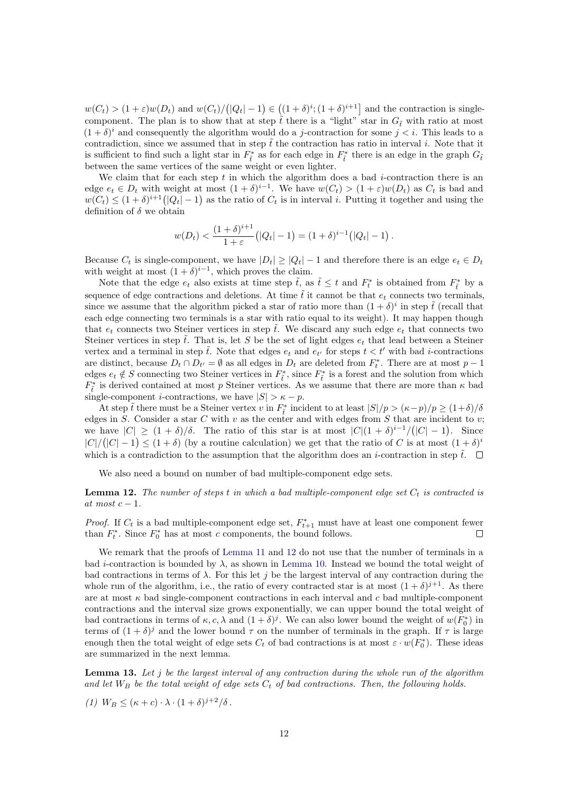$w(C_t) > (1+\varepsilon)w(D_t)$  and  $w(C_t)/(|Q_t|-1) \in ((1+\delta)^i; (1+\delta)^{i+1}]$  and the contraction is singlecomponent. The plan is to show that at step  $\tilde{t}$  there is a "light" star in  $G_{\tilde{t}}$  with ratio at most  $(1 + \delta)^i$  and consequently the algorithm would do a *j*-contraction for some  $j < i$ . This leads to a contradiction, since we assumed that in step  $\hat{t}$  the contraction has ratio in interval i. Note that it is sufficient to find such a light star in  $F_{\tilde{t}}^*$  as for each edge in  $F_{\tilde{t}}^*$  there is an edge in the graph  $G_{\tilde{t}}$ between the same vertices of the same weight or even lighter.

We claim that for each step  $t$  in which the algorithm does a bad  $i$ -contraction there is an edge  $e_t \in D_t$  with weight at most  $(1 + \delta)^{i-1}$ . We have  $w(C_t) > (1 + \varepsilon)w(D_t)$  as  $C_t$  is bad and  $w(C_t) \leq (1+\delta)^{i+1} (|Q_t|-1)$  as the ratio of  $C_t$  is in interval i. Putting it together and using the definition of  $\delta$  we obtain

$$
w(D_t) < \frac{(1+\delta)^{i+1}}{1+\varepsilon} \big( |Q_t| - 1 \big) = (1+\delta)^{i-1} \big( |Q_t| - 1 \big) \, .
$$

Because  $C_t$  is single-component, we have  $|D_t| \geq |Q_t| - 1$  and therefore there is an edge  $e_t \in D_t$ with weight at most  $(1 + \delta)^{i-1}$ , which proves the claim.

Note that the edge  $e_t$  also exists at time step  $\tilde{t}$ , as  $\tilde{t} \leq t$  and  $F_t^*$  is obtained from  $F_{\tilde{t}}^*$  by a sequence of edge contractions and deletions. At time  $\tilde{t}$  it cannot be that  $e_t$  connects two terminals, since we assume that the algorithm picked a star of ratio more than  $(1 + \delta)^i$  in step  $\tilde{t}$  (recall that each edge connecting two terminals is a star with ratio equal to its weight). It may happen though that  $e_t$  connects two Steiner vertices in step  $\tilde{t}$ . We discard any such edge  $e_t$  that connects two Steiner vertices in step  $\tilde{t}$ . That is, let S be the set of light edges  $e_t$  that lead between a Steiner vertex and a terminal in step  $\tilde{t}$ . Note that edges  $e_t$  and  $e_{t'}$  for steps  $t < t'$  with bad *i*-contractions are distinct, because  $D_t \cap D_{t'} = \emptyset$  as all edges in  $D_t$  are deleted from  $F_t^*$ . There are at most  $p-1$ edges  $e_t \notin S$  connecting two Steiner vertices in  $F_{\tilde{t}}^*$ , since  $F_{\tilde{t}}^*$  is a forest and the solution from which  $F_{\tilde{t}}^*$  is derived contained at most p Steiner vertices. As we assume that there are more than  $\kappa$  bad single-component *i*-contractions, we have  $|S| > \kappa - p$ .

At step tv there must be a Steiner vertex v in  $F_{\tilde{t}}^*$  incident to at least  $|S|/p > (\kappa - p)/p \ge (1+\delta)/\delta$ edges in S. Consider a star C with v as the center and with edges from S that are incident to v; we have  $|C| \ge (1 + \delta)/\delta$ . The ratio of this star is at most  $|C|(1 + \delta)^{i-1}/(|C|-1)$ . Since  $|C|/(|C|-1) \leq (1+\delta)$  (by a routine calculation) we get that the ratio of C is at most  $(1+\delta)^i$ which is a contradiction to the assumption that the algorithm does an *i*-contraction in step  $\tilde{t}$ .  $\Box$ 

We also need a bound on number of bad multiple-component edge sets.

<span id="page-11-0"></span>**Lemma 12.** The number of steps t in which a bad multiple-component edge set  $C_t$  is contracted is at most  $c - 1$ .

*Proof.* If  $C_t$  is a bad multiple-component edge set,  $F_{t+1}^*$  must have at least one component fewer than  $F_t^*$ . Since  $F_0^*$  has at most c components, the bound follows.  $\Box$ 

We remark that the proofs of [Lemma 11](#page-10-1) and [12](#page-11-0) do not use that the number of terminals in a bad *i*-contraction is bounded by  $\lambda$ , as shown in [Lemma 10.](#page-9-2) Instead we bound the total weight of bad contractions in terms of  $\lambda$ . For this let j be the largest interval of any contraction during the whole run of the algorithm, i.e., the ratio of every contracted star is at most  $(1 + \delta)^{j+1}$ . As there are at most  $\kappa$  bad single-component contractions in each interval and c bad multiple-component contractions and the interval size grows exponentially, we can upper bound the total weight of bad contractions in terms of  $\kappa$ , c,  $\lambda$  and  $(1+\delta)^j$ . We can also lower bound the weight of  $w(F_0^*)$  in terms of  $(1 + \delta)^j$  and the lower bound  $\tau$  on the number of terminals in the graph. If  $\tau$  is large enough then the total weight of edge sets  $C_t$  of bad contractions is at most  $\varepsilon \cdot w(F_0^*)$ . These ideas are summarized in the next lemma.

<span id="page-11-1"></span>**Lemma 13.** Let  $j$  be the largest interval of any contraction during the whole run of the algorithm and let  $W_B$  be the total weight of edge sets  $C_t$  of bad contractions. Then, the following holds.

$$
(1) W_B \leq (\kappa + c) \cdot \lambda \cdot (1 + \delta)^{j+2} / \delta.
$$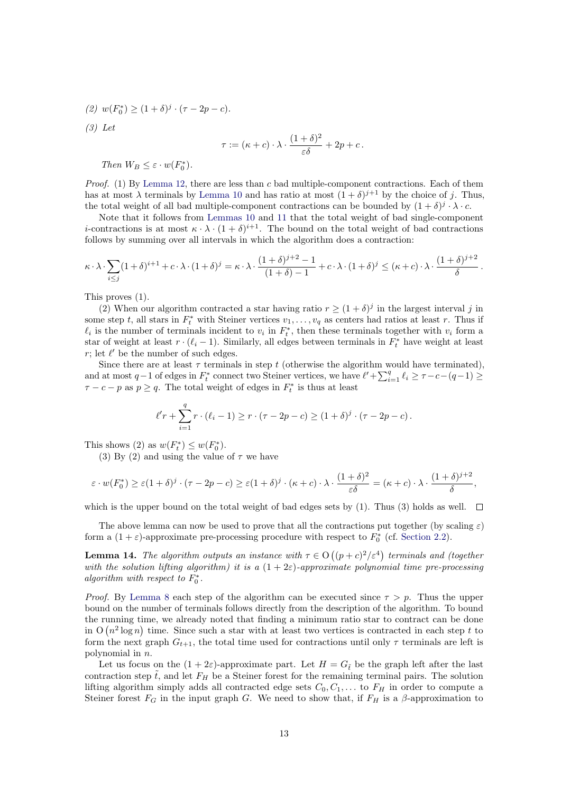(2) 
$$
w(F_0^*) \ge (1 + \delta)^j \cdot (\tau - 2p - c).
$$
  
\n(3) Let  
\n
$$
\tau := (\kappa + c) \cdot \lambda \cdot \frac{(1 + \delta)^2}{\varepsilon \delta} + 2p + c.
$$

Then  $W_B \leq \varepsilon \cdot w(F_0^*)$ .

Proof. (1) By [Lemma 12,](#page-11-0) there are less than c bad multiple-component contractions. Each of them has at most  $\lambda$  terminals by [Lemma 10](#page-9-2) and has ratio at most  $(1 + \delta)^{j+1}$  by the choice of j. Thus, the total weight of all bad multiple-component contractions can be bounded by  $(1 + \delta)^j \cdot \lambda \cdot c$ .

Note that it follows from [Lemmas 10](#page-9-2) and [11](#page-10-1) that the total weight of bad single-component *i*-contractions is at most  $\kappa \cdot \lambda \cdot (1+\delta)^{i+1}$ . The bound on the total weight of bad contractions follows by summing over all intervals in which the algorithm does a contraction:

$$
\kappa \cdot \lambda \cdot \sum_{i \le j} (1+\delta)^{i+1} + c \cdot \lambda \cdot (1+\delta)^j = \kappa \cdot \lambda \cdot \frac{(1+\delta)^{j+2} - 1}{(1+\delta) - 1} + c \cdot \lambda \cdot (1+\delta)^j \le (\kappa + c) \cdot \lambda \cdot \frac{(1+\delta)^{j+2}}{\delta}.
$$

This proves (1).

(2) When our algorithm contracted a star having ratio  $r \geq (1+\delta)^j$  in the largest interval j in some step t, all stars in  $F_t^*$  with Steiner vertices  $v_1, \ldots, v_q$  as centers had ratios at least r. Thus if  $\ell_i$  is the number of terminals incident to  $v_i$  in  $F_t^*$ , then these terminals together with  $v_i$  form a star of weight at least  $r \cdot (\ell_i - 1)$ . Similarly, all edges between terminals in  $F_t^*$  have weight at least  $r$ ; let  $\ell'$  be the number of such edges.

Since there are at least  $\tau$  terminals in step t (otherwise the algorithm would have terminated), and at most  $q-1$  of edges in  $F_t^*$  connect two Steiner vertices, we have  $\ell' + \sum_{i=1}^q \ell_i \geq \tau - c - (q-1) \geq$  $\tau - c - p$  as  $p \ge q$ . The total weight of edges in  $F_t^*$  is thus at least

$$
\ell' r + \sum_{i=1}^{q} r \cdot (\ell_i - 1) \ge r \cdot (\tau - 2p - c) \ge (1 + \delta)^j \cdot (\tau - 2p - c).
$$

This shows (2) as  $w(F_t^*) \leq w(F_0^*)$ .

(3) By (2) and using the value of  $\tau$  we have

$$
\varepsilon \cdot w(F_0^*) \ge \varepsilon (1+\delta)^j \cdot (\tau - 2p - c) \ge \varepsilon (1+\delta)^j \cdot (\kappa + c) \cdot \lambda \cdot \frac{(1+\delta)^2}{\varepsilon \delta} = (\kappa + c) \cdot \lambda \cdot \frac{(1+\delta)^{j+2}}{\delta},
$$

which is the upper bound on the total weight of bad edges sets by (1). Thus (3) holds as well.  $\square$ 

The above lemma can now be used to prove that all the contractions put together (by scaling  $\varepsilon$ ) form a  $(1 + \varepsilon)$ -approximate pre-processing procedure with respect to  $F_0^*$  (cf. [Section 2.2\)](#page-6-1).

<span id="page-12-0"></span>**Lemma 14.** The algorithm outputs an instance with  $\tau \in O((p+c)^2/\varepsilon^4)$  terminals and (together with the solution lifting algorithm) it is a  $(1+2\varepsilon)$ -approximate polynomial time pre-processing algorithm with respect to  $F_0^*$ .

*Proof.* By [Lemma 8](#page-8-0) each step of the algorithm can be executed since  $\tau > p$ . Thus the upper bound on the number of terminals follows directly from the description of the algorithm. To bound the running time, we already noted that finding a minimum ratio star to contract can be done in  $O(n^2 \log n)$  time. Since such a star with at least two vertices is contracted in each step t to form the next graph  $G_{t+1}$ , the total time used for contractions until only  $\tau$  terminals are left is polynomial in n.

Let us focus on the  $(1 + 2\varepsilon)$ -approximate part. Let  $H = G_{\tilde{t}}$  be the graph left after the last contraction step  $\tilde{t}$ , and let  $F_H$  be a Steiner forest for the remaining terminal pairs. The solution lifting algorithm simply adds all contracted edge sets  $C_0, C_1, \ldots$  to  $F_H$  in order to compute a Steiner forest  $F_G$  in the input graph G. We need to show that, if  $F_H$  is a  $\beta$ -approximation to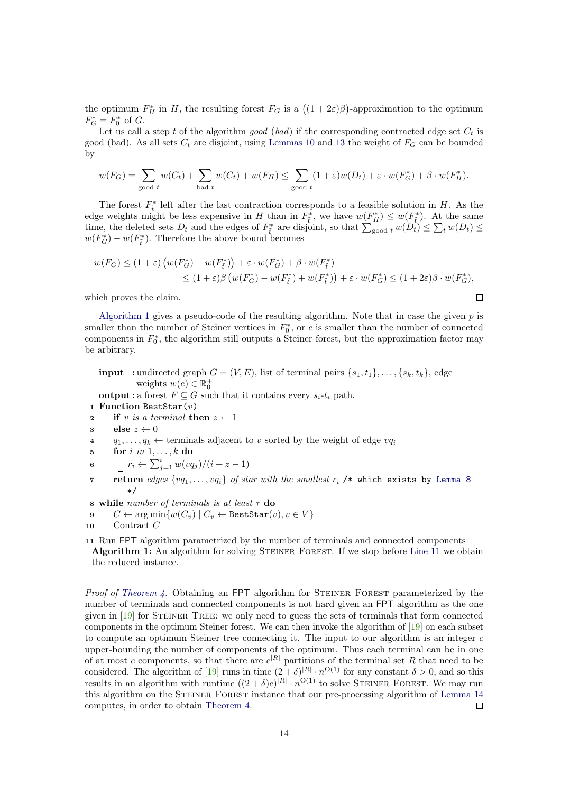the optimum  $F_H^*$  in H, the resulting forest  $F_G$  is a  $((1+2\varepsilon)\beta)$ -approximation to the optimum  $F_G^* = F_0^*$  of G.

Let us call a step t of the algorithm good (bad) if the corresponding contracted edge set  $C_t$  is good (bad). As all sets  $C_t$  are disjoint, using [Lemmas 10](#page-9-2) and [13](#page-11-1) the weight of  $F_G$  can be bounded by

$$
w(F_G) = \sum_{\text{good } t} w(C_t) + \sum_{\text{bad } t} w(C_t) + w(F_H) \le \sum_{\text{good } t} (1+\varepsilon)w(D_t) + \varepsilon \cdot w(F_G^*) + \beta \cdot w(F_H^*).
$$

The forest  $F_{\tilde{t}}^*$  left after the last contraction corresponds to a feasible solution in H. As the edge weights might be less expensive in H than in  $F_{\tilde{t}}^*$ , we have  $w(F_H^*) \leq w(F_{\tilde{t}}^*)$ . At the same time, the deleted sets  $D_t$  and the edges of  $F_{\tilde{t}}^*$  are disjoint, so that  $\sum_{\text{good } t} w(D_t) \leq \sum_t w(D_t) \leq$  $w(F_G^*) - w(F_{\tilde{t}}^*)$ . Therefore the above bound becomes

$$
w(F_G) \le (1+\varepsilon) \left( w(F_G^*) - w(F_{\tilde{t}}^*) \right) + \varepsilon \cdot w(F_G^*) + \beta \cdot w(F_{\tilde{t}}^*)
$$
  
 
$$
\le (1+\varepsilon)\beta \left( w(F_G^*) - w(F_{\tilde{t}}^*) + w(F_{\tilde{t}}^*) \right) + \varepsilon \cdot w(F_G^*) \le (1+2\varepsilon)\beta \cdot w(F_G^*),
$$

 $\Box$ 

which proves the claim.

[Algorithm 1](#page-13-0) gives a pseudo-code of the resulting algorithm. Note that in case the given  $p$  is smaller than the number of Steiner vertices in  $F_0^*$ , or c is smaller than the number of connected components in  $F_0^*$ , the algorithm still outputs a Steiner forest, but the approximation factor may be arbitrary.

**input** : undirected graph  $G = (V, E)$ , list of terminal pairs  $\{s_1, t_1\}, \ldots, \{s_k, t_k\}$ , edge weights  $w(e) \in \mathbb{R}_0^+$ 

**output :** a forest  $F \subseteq G$  such that it contains every  $s_i-t_i$  path.

1 Function BestStar $(v)$ 

- 2 if v is a terminal then  $z \leftarrow 1$
- $3 \mid \text{else } z \leftarrow 0$
- 4  $\begin{array}{c} | \quad q_1, \ldots, q_k \leftarrow \text{terminals adjacent to } v \text{ sorted by the weight of edge } v q_i \end{array}$
- $\mathbf{5}$  | for i in  $1, \ldots, k$  do

$$
\mathbf{6} \quad \Big| \quad \Big| \quad r_i \leftarrow \sum_{j=1}^i w(vq_j)/(i+z-1)
$$

- $\tau$  | return  $edges\; \{vq_1, \ldots, vq_i\}$  of star with the smallest  $r_i$  /\* which exists by [Lemma 8](#page-8-0) \*/
- 8 while number of terminals is at least  $\tau$  do
- 9  $\mid C \leftarrow \arg \min \{ w(C_v) \mid C_v \leftarrow \texttt{BestStar}(v), v \in V \}$
- $10$  Contract C
- <span id="page-13-1"></span><span id="page-13-0"></span>11 Run FPT algorithm parametrized by the number of terminals and connected components Algorithm 1: An algorithm for solving STEINER FOREST. If we stop before [Line 11](#page-13-1) we obtain the reduced instance.

*Proof of [Theorem 4.](#page-2-1)* Obtaining an FPT algorithm for STEINER FOREST parameterized by the number of terminals and connected components is not hard given an FPT algorithm as the one given in [\[19\]](#page-22-3) for Steiner Tree: we only need to guess the sets of terminals that form connected components in the optimum Steiner forest. We can then invoke the algorithm of [\[19\]](#page-22-3) on each subset to compute an optimum Steiner tree connecting it. The input to our algorithm is an integer  $c$ upper-bounding the number of components of the optimum. Thus each terminal can be in one of at most c components, so that there are  $c^{|R|}$  partitions of the terminal set R that need to be considered. The algorithm of [\[19\]](#page-22-3) runs in time  $(2 + \delta)^{|R|} \cdot n^{\mathcal{O}(1)}$  for any constant  $\delta > 0$ , and so this results in an algorithm with runtime  $((2 + \delta)c)^{|R|} \cdot n^{|O(1)|}$  to solve STEINER FOREST. We may run this algorithm on the STEINER FOREST instance that our pre-processing algorithm of [Lemma 14](#page-12-0) computes, in order to obtain [Theorem 4.](#page-2-1)  $\Box$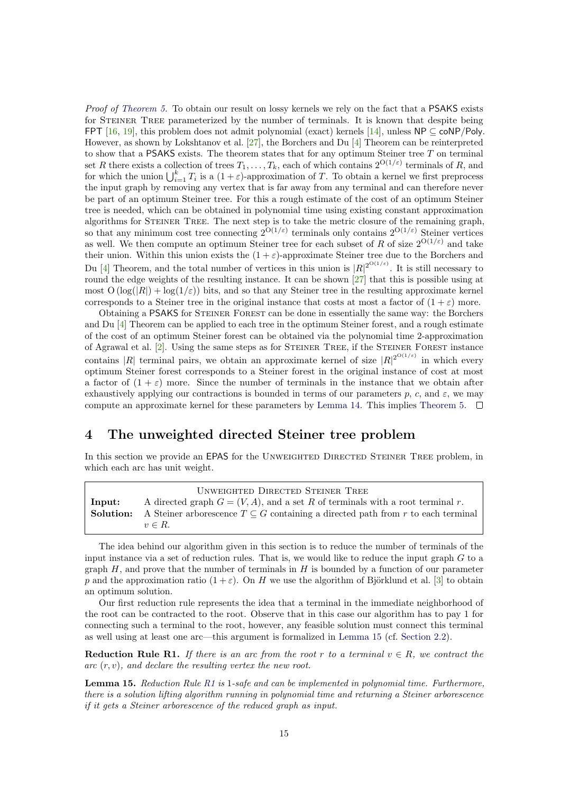Proof of [Theorem 5.](#page-3-0) To obtain our result on lossy kernels we rely on the fact that a PSAKS exists for STEINER TREE parameterized by the number of terminals. It is known that despite being FPT [\[16,](#page-22-2) [19\]](#page-22-3), this problem does not admit polynomial (exact) kernels [\[14\]](#page-22-8), unless  $\mathsf{NP} \subseteq \mathsf{coNP/Poly}$ . However, as shown by Lokshtanov et al. [\[27\]](#page-23-5), the Borchers and Du [\[4\]](#page-21-2) Theorem can be reinterpreted to show that a PSAKS exists. The theorem states that for any optimum Steiner tree  $T$  on terminal set R there exists a collection of trees  $T_1, \ldots, T_k$ , each of which contains  $2^{O(1/\varepsilon)}$  terminals of R, and for which the union  $\bigcup_{i=1}^k T_i$  is a  $(1+\varepsilon)$ -approximation of T. To obtain a kernel we first preprocess the input graph by removing any vertex that is far away from any terminal and can therefore never be part of an optimum Steiner tree. For this a rough estimate of the cost of an optimum Steiner tree is needed, which can be obtained in polynomial time using existing constant approximation algorithms for STEINER TREE. The next step is to take the metric closure of the remaining graph, so that any minimum cost tree connecting  $2^{O(1/\varepsilon)}$  terminals only contains  $2^{O(1/\varepsilon)}$  Steiner vertices as well. We then compute an optimum Steiner tree for each subset of R of size  $2^{O(1/\varepsilon)}$  and take their union. Within this union exists the  $(1 + \varepsilon)$ -approximate Steiner tree due to the Borchers and Du [\[4\]](#page-21-2) Theorem, and the total number of vertices in this union is  $|R|^{2^{O(1/\varepsilon)}}$ . It is still necessary to round the edge weights of the resulting instance. It can be shown [\[27\]](#page-23-5) that this is possible using at most  $O(\log(|R|) + \log(1/\varepsilon))$  bits, and so that any Steiner tree in the resulting approximate kernel corresponds to a Steiner tree in the original instance that costs at most a factor of  $(1 + \varepsilon)$  more.

Obtaining a PSAKS for Steiner Forest can be done in essentially the same way: the Borchers and Du [\[4\]](#page-21-2) Theorem can be applied to each tree in the optimum Steiner forest, and a rough estimate of the cost of an optimum Steiner forest can be obtained via the polynomial time 2-approximation of Agrawal et al. [\[2\]](#page-21-4). Using the same steps as for Steiner Tree, if the Steiner Forest instance contains |R| terminal pairs, we obtain an approximate kernel of size  $|R|^{2^{O(1/\varepsilon)}}$  in which every optimum Steiner forest corresponds to a Steiner forest in the original instance of cost at most a factor of  $(1 + \varepsilon)$  more. Since the number of terminals in the instance that we obtain after exhaustively applying our contractions is bounded in terms of our parameters p, c, and  $\varepsilon$ , we may compute an approximate kernel for these parameters by [Lemma 14.](#page-12-0) This implies [Theorem 5.](#page-3-0)  $\Box$ 

### 4 The unweighted directed Steiner tree problem

In this section we provide an EPAS for the UNWEIGHTED DIRECTED STEINER TREE problem, in which each arc has unit weight.

|        | UNWEIGHTED DIRECTED STEINER TREE                                                                           |
|--------|------------------------------------------------------------------------------------------------------------|
| Input: | A directed graph $G = (V, A)$ , and a set R of terminals with a root terminal r.                           |
|        | <b>Solution:</b> A Steiner arborescence $T \subseteq G$ containing a directed path from r to each terminal |
|        | $v \in R$ .                                                                                                |

The idea behind our algorithm given in this section is to reduce the number of terminals of the input instance via a set of reduction rules. That is, we would like to reduce the input graph  $G$  to a graph  $H$ , and prove that the number of terminals in  $H$  is bounded by a function of our parameter p and the approximation ratio  $(1 + \varepsilon)$ . On H we use the algorithm of Björklund et al. [\[3\]](#page-21-1) to obtain an optimum solution.

Our first reduction rule represents the idea that a terminal in the immediate neighborhood of the root can be contracted to the root. Observe that in this case our algorithm has to pay 1 for connecting such a terminal to the root, however, any feasible solution must connect this terminal as well using at least one arc—this argument is formalized in [Lemma 15](#page-14-0) (cf. [Section 2.2\)](#page-6-1).

<span id="page-14-1"></span>Reduction Rule R1. If there is an arc from the root r to a terminal  $v \in R$ , we contract the  $\alpha$  arc  $(r, v)$ , and declare the resulting vertex the new root.

<span id="page-14-0"></span>Lemma 15. Reduction Rule [R1](#page-14-1) is 1-safe and can be implemented in polynomial time. Furthermore, there is a solution lifting algorithm running in polynomial time and returning a Steiner arborescence if it gets a Steiner arborescence of the reduced graph as input.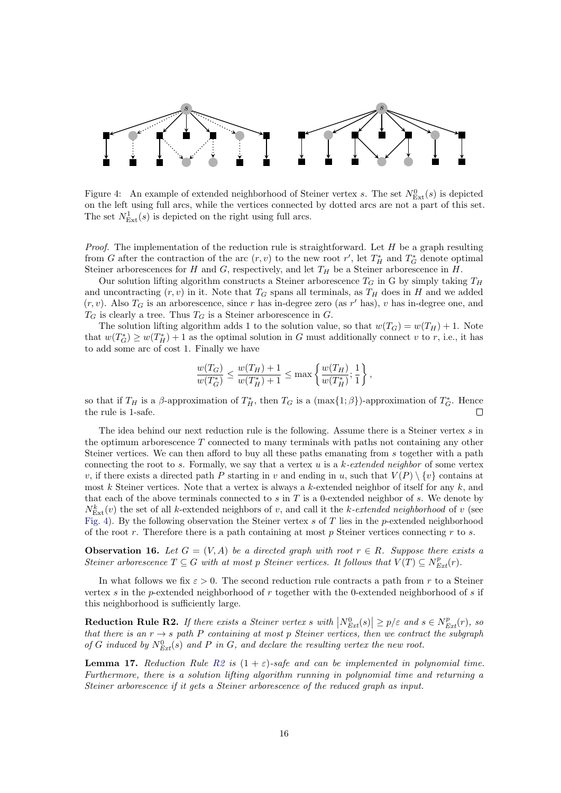

<span id="page-15-0"></span>Figure 4: An example of extended neighborhood of Steiner vertex s. The set  $N_{\text{Ext}}^0(s)$  is depicted on the left using full arcs, while the vertices connected by dotted arcs are not a part of this set. The set  $N_{\text{Ext}}^1(s)$  is depicted on the right using full arcs.

*Proof.* The implementation of the reduction rule is straightforward. Let  $H$  be a graph resulting from G after the contraction of the arc  $(r, v)$  to the new root  $r'$ , let  $T_H^*$  and  $T_G^*$  denote optimal Steiner arborescences for H and G, respectively, and let  $T_H$  be a Steiner arborescence in H.

Our solution lifting algorithm constructs a Steiner arborescence  $T_G$  in G by simply taking  $T_H$ and uncontracting  $(r, v)$  in it. Note that  $T_G$  spans all terminals, as  $T_H$  does in H and we added  $(r, v)$ . Also  $T_G$  is an arborescence, since r has in-degree zero (as r' has), v has in-degree one, and  $T_G$  is clearly a tree. Thus  $T_G$  is a Steiner arborescence in  $G$ .

The solution lifting algorithm adds 1 to the solution value, so that  $w(T_G) = w(T_H) + 1$ . Note that  $w(T_G^*) \geq w(T_H^*) + 1$  as the optimal solution in G must additionally connect v to r, i.e., it has to add some arc of cost 1. Finally we have

$$
\frac{w(T_G)}{w(T_G^*)} \le \frac{w(T_H) + 1}{w(T_H^*) + 1} \le \max\left\{\frac{w(T_H)}{w(T_H^*)}; \frac{1}{1}\right\},\,
$$

so that if  $T_H$  is a  $\beta$ -approximation of  $T_H^*$ , then  $T_G$  is a  $(\max\{1;\beta\})$ -approximation of  $T_G^*$ . Hence the rule is 1-safe.

The idea behind our next reduction rule is the following. Assume there is a Steiner vertex s in the optimum arborescence  $T$  connected to many terminals with paths not containing any other Steiner vertices. We can then afford to buy all these paths emanating from s together with a path connecting the root to s. Formally, we say that a vertex u is a  $k$ -extended neighbor of some vertex v, if there exists a directed path P starting in v and ending in u, such that  $V(P) \setminus \{v\}$  contains at most k Steiner vertices. Note that a vertex is always a k-extended neighbor of itself for any  $k$ , and that each of the above terminals connected to  $s$  in  $T$  is a 0-extended neighbor of  $s$ . We denote by  $N_{\text{Ext}}^k(v)$  the set of all k-extended neighbors of v, and call it the k-extended neighborhood of v (see [Fig. 4\)](#page-15-0). By the following observation the Steiner vertex  $s$  of  $T$  lies in the p-extended neighborhood of the root r. Therefore there is a path containing at most p Steiner vertices connecting r to s.

**Observation 16.** Let  $G = (V, A)$  be a directed graph with root  $r \in R$ . Suppose there exists a Steiner arborescence  $T \subseteq G$  with at most p Steiner vertices. It follows that  $V(T) \subseteq N_{Ext}^p(r)$ .

In what follows we fix  $\varepsilon > 0$ . The second reduction rule contracts a path from r to a Steiner vertex s in the p-extended neighborhood of  $r$  together with the 0-extended neighborhood of s if this neighborhood is sufficiently large.

<span id="page-15-1"></span>**Reduction Rule R2.** If there exists a Steiner vertex s with  $\left|N_{Ext}^{0}(s)\right| \geq p/\varepsilon$  and  $s \in N_{Ext}^{p}(r)$ , so that there is an  $r \to s$  path P containing at most p Steiner vertices, then we contract the subgraph of G induced by  $N_{Ext}^{0}(s)$  and P in G, and declare the resulting vertex the new root.

<span id="page-15-2"></span>**Lemma 17.** Reduction Rule [R2](#page-15-1) is  $(1 + \varepsilon)$ -safe and can be implemented in polynomial time. Furthermore, there is a solution lifting algorithm running in polynomial time and returning a Steiner arborescence if it gets a Steiner arborescence of the reduced graph as input.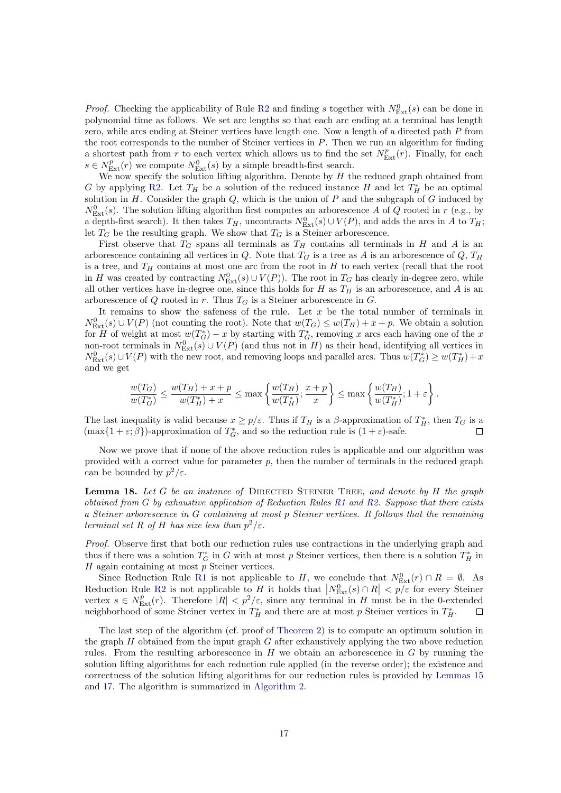*Proof.* Checking the applicability of Rule [R2](#page-15-1) and finding s together with  $N_{\text{Ext}}^0(s)$  can be done in polynomial time as follows. We set arc lengths so that each arc ending at a terminal has length zero, while arcs ending at Steiner vertices have length one. Now a length of a directed path P from the root corresponds to the number of Steiner vertices in  $P$ . Then we run an algorithm for finding a shortest path from r to each vertex which allows us to find the set  $N_{\text{Ext}}^p(r)$ . Finally, for each  $s \in N_{\text{Ext}}^p(r)$  we compute  $N_{\text{Ext}}^0(s)$  by a simple breadth-first search.

We now specify the solution lifting algorithm. Denote by  $H$  the reduced graph obtained from G by applying [R2.](#page-15-1) Let  $T_H$  be a solution of the reduced instance H and let  $T_H^*$  be an optimal solution in  $H$ . Consider the graph  $Q$ , which is the union of  $P$  and the subgraph of  $G$  induced by  $N<sub>Ext</sub><sup>0</sup>(s)$ . The solution lifting algorithm first computes an arborescence A of Q rooted in r (e.g., by a depth-first search). It then takes  $T_H$ , uncontracts  $N^0_{Ext}(s) \cup V(P)$ , and adds the arcs in A to  $T_H$ ; let  $T_G$  be the resulting graph. We show that  $T_G$  is a Steiner arborescence.

First observe that  $T_G$  spans all terminals as  $T_H$  contains all terminals in H and A is an arborescence containing all vertices in Q. Note that  $T_G$  is a tree as A is an arborescence of Q,  $T_H$ is a tree, and  $T_H$  contains at most one arc from the root in H to each vertex (recall that the root in H was created by contracting  $N_{\text{Ext}}^0(s) \cup V(P)$ ). The root in  $T_G$  has clearly in-degree zero, while all other vertices have in-degree one, since this holds for  $H$  as  $T_H$  is an arborescence, and  $A$  is an arborescence of  $Q$  rooted in  $r$ . Thus  $T_G$  is a Steiner arborescence in  $G$ .

It remains to show the safeness of the rule. Let  $x$  be the total number of terminals in  $N_{\text{Ext}}^0(s) \cup V(P)$  (not counting the root). Note that  $w(T_G) \le w(T_H) + x + p$ . We obtain a solution for H of weight at most  $w(T^*_G) - x$  by starting with  $T^*_G$ , removing x arcs each having one of the x non-root terminals in  $N^0_{\text{Ext}}(s) \cup V(P)$  (and thus not in H) as their head, identifying all vertices in  $N_{\text{Ext}}^0(s) \cup V(P)$  with the new root, and removing loops and parallel arcs. Thus  $w(T_G^*) \geq w(T_H^*) + x$ and we get

$$
\frac{w(T_G)}{w(T_G^*)} \le \frac{w(T_H) + x + p}{w(T_H^*) + x} \le \max\left\{\frac{w(T_H)}{w(T_H^*)}; \frac{x + p}{x}\right\} \le \max\left\{\frac{w(T_H)}{w(T_H^*)}; 1 + \varepsilon\right\}.
$$

The last inequality is valid because  $x \ge p/\varepsilon$ . Thus if  $T_H$  is a  $\beta$ -approximation of  $T_H^*$ , then  $T_G$  is a  $(\max\{1+\varepsilon;\beta\})$ -approximation of  $T^*_G$ , and so the reduction rule is  $(1+\varepsilon)$ -safe.

Now we prove that if none of the above reduction rules is applicable and our algorithm was provided with a correct value for parameter  $p$ , then the number of terminals in the reduced graph can be bounded by  $p^2/\varepsilon$ .

<span id="page-16-0"></span>**Lemma 18.** Let G be an instance of DIRECTED STEINER TREE, and denote by H the graph obtained from G by exhaustive application of Reduction Rules [R1](#page-14-1) and [R2.](#page-15-1) Suppose that there exists a Steiner arborescence in G containing at most p Steiner vertices. It follows that the remaining terminal set R of H has size less than  $p^2/\varepsilon$ .

Proof. Observe first that both our reduction rules use contractions in the underlying graph and thus if there was a solution  $T_G^*$  in G with at most p Steiner vertices, then there is a solution  $T_H^*$  in  $H$  again containing at most  $p$  Steiner vertices.

Since Reduction Rule [R1](#page-14-1) is not applicable to H, we conclude that  $N_{\text{Ext}}^0(r) \cap R = \emptyset$ . As Reduction Rule [R2](#page-15-1) is not applicable to H it holds that  $\left|N_{\text{Ext}}^{0}(s) \cap R\right| < p/\varepsilon$  for every Steiner vertex  $s \in N_{\text{Ext}}^p(r)$ . Therefore  $|R| < p^2/\varepsilon$ , since any terminal in H must be in the 0-extended neighborhood of some Steiner vertex in  $T_H^*$  and there are at most p Steiner vertices in  $T_H^*$ .

The last step of the algorithm (cf. proof of [Theorem 2\)](#page-2-2) is to compute an optimum solution in the graph  $H$  obtained from the input graph  $G$  after exhaustively applying the two above reduction rules. From the resulting arborescence in  $H$  we obtain an arborescence in  $G$  by running the solution lifting algorithms for each reduction rule applied (in the reverse order); the existence and correctness of the solution lifting algorithms for our reduction rules is provided by [Lemmas 15](#page-14-0) and [17.](#page-15-2) The algorithm is summarized in [Algorithm 2.](#page-17-0)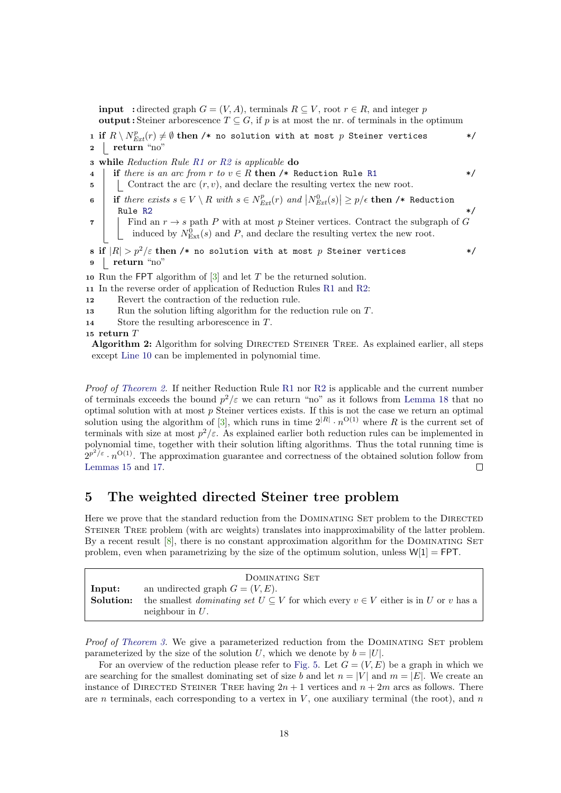**input** : directed graph  $G = (V, A)$ , terminals  $R \subseteq V$ , root  $r \in R$ , and integer p output : Steiner arborescence  $T \subseteq G$ , if p is at most the nr. of terminals in the optimum

1 if  $R \setminus N^p_{Ext}(r) \neq \emptyset$  then /\* no solution with at most  $p$  Steiner vertices \*/  $2 \int$  return "no"

3 while Reduction Rule [R1](#page-14-1) or [R2](#page-15-1) is applicable  $\bf{do}$ 

- 4 if there is an arc from r to  $v \in R$  then /\* Reduction Rule [R1](#page-14-1) \*/
- $\mathbf{5}$  | Contract the arc  $(r, v)$ , and declare the resulting vertex the new root.
- 6 if there exists  $s \in V \setminus R$  with  $s \in N_{Ext}^p(r)$  and  $\left|N_{Ext}^0(s)\right| \geq p/\epsilon$  then /\* Reduction Rule [R2](#page-15-1)  $\star/$

7 Find an  $r \to s$  path P with at most p Steiner vertices. Contract the subgraph of G induced by  $N_{\text{Ext}}^0(s)$  and P, and declare the resulting vertex the new root.

8 if  $|R| > p^2/\varepsilon$  then /\* no solution with at most p Steiner vertices \*/ 9 return "no"

<span id="page-17-1"></span>10 Run the FPT algorithm of  $[3]$  and let T be the returned solution.

- 11 In the reverse order of application of Reduction Rules [R1](#page-14-1) and [R2:](#page-15-1)
- 12 Revert the contraction of the reduction rule.
- <sup>13</sup> Run the solution lifting algorithm for the reduction rule on T.
- <sup>14</sup> Store the resulting arborescence in T.

<sup>15</sup> return T

<span id="page-17-0"></span>Algorithm 2: Algorithm for solving DIRECTED STEINER TREE. As explained earlier, all steps except [Line 10](#page-17-1) can be implemented in polynomial time.

Proof of [Theorem 2.](#page-2-2) If neither Reduction Rule [R1](#page-14-1) nor [R2](#page-15-1) is applicable and the current number of terminals exceeds the bound  $p^2/\varepsilon$  we can return "no" as it follows from [Lemma 18](#page-16-0) that no optimal solution with at most  $p$  Steiner vertices exists. If this is not the case we return an optimal solution using the algorithm of [\[3\]](#page-21-1), which runs in time  $2^{|R|} \cdot n^{\mathcal{O}(1)}$  where R is the current set of terminals with size at most  $p^2/\varepsilon$ . As explained earlier both reduction rules can be implemented in polynomial time, together with their solution lifting algorithms. Thus the total running time is  $2^{p^2/\varepsilon} \cdot n^{\mathcal{O}(1)}$ . The approximation guarantee and correctness of the obtained solution follow from [Lemmas 15](#page-14-0) and [17.](#page-15-2)  $\Box$ 

### 5 The weighted directed Steiner tree problem

Here we prove that the standard reduction from the DOMINATING SET problem to the DIRECTED Steiner Tree problem (with arc weights) translates into inapproximability of the latter problem. By a recent result  $[8]$ , there is no constant approximation algorithm for the DOMINATING SET problem, even when parametrizing by the size of the optimum solution, unless  $W[1] = FPT$ .

|                     | DOMINATING SET                                                                                                                                                     |
|---------------------|--------------------------------------------------------------------------------------------------------------------------------------------------------------------|
| Input:<br>Solution: | an undirected graph $G = (V, E)$ .<br>the smallest <i>dominating set</i> $U \subseteq V$ for which every $v \in V$ either is in U or v has a<br>neighbour in $U$ . |

Proof of [Theorem 3.](#page-2-0) We give a parameterized reduction from the DOMINATING SET problem parameterized by the size of the solution U, which we denote by  $b = |U|$ .

For an overview of the reduction please refer to [Fig. 5.](#page-18-0) Let  $G = (V, E)$  be a graph in which we are searching for the smallest dominating set of size b and let  $n = |V|$  and  $m = |E|$ . We create an instance of DIRECTED STEINER TREE having  $2n + 1$  vertices and  $n + 2m$  arcs as follows. There are n terminals, each corresponding to a vertex in  $V$ , one auxiliary terminal (the root), and  $n$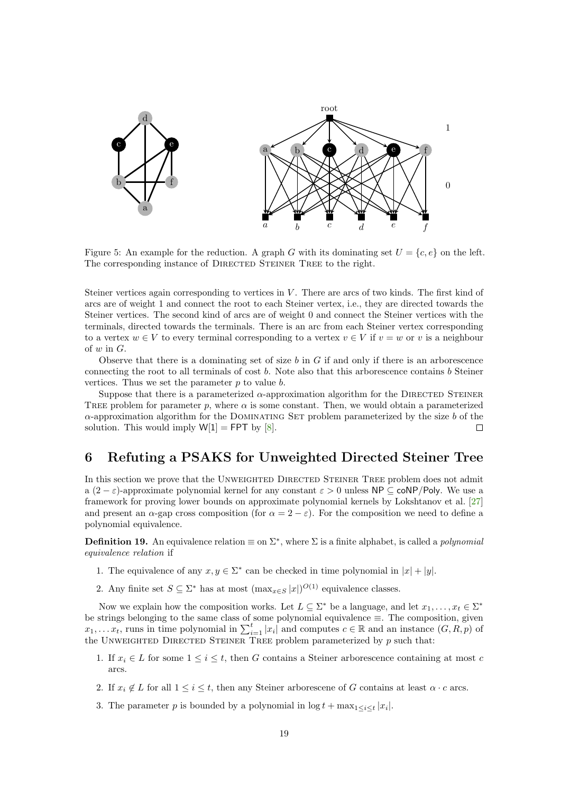

<span id="page-18-0"></span>Figure 5: An example for the reduction. A graph G with its dominating set  $U = \{c, e\}$  on the left. The corresponding instance of DIRECTED STEINER TREE to the right.

Steiner vertices again corresponding to vertices in V. There are arcs of two kinds. The first kind of arcs are of weight 1 and connect the root to each Steiner vertex, i.e., they are directed towards the Steiner vertices. The second kind of arcs are of weight 0 and connect the Steiner vertices with the terminals, directed towards the terminals. There is an arc from each Steiner vertex corresponding to a vertex  $w \in V$  to every terminal corresponding to a vertex  $v \in V$  if  $v = w$  or v is a neighbour of  $w$  in  $G$ .

Observe that there is a dominating set of size b in G if and only if there is an arborescence connecting the root to all terminals of cost  $b$ . Note also that this arborescence contains  $b$  Steiner vertices. Thus we set the parameter  $p$  to value  $b$ .

Suppose that there is a parameterized  $\alpha$ -approximation algorithm for the DIRECTED STEINER TREE problem for parameter p, where  $\alpha$  is some constant. Then, we would obtain a parameterized  $\alpha$ -approximation algorithm for the DOMINATING SET problem parameterized by the size b of the solution. This would imply  $W[1] = FPT$  by [\[8\]](#page-22-14).  $\Box$ 

## 6 Refuting a PSAKS for Unweighted Directed Steiner Tree

In this section we prove that the UNWEIGHTED DIRECTED STEINER TREE problem does not admit a  $(2 - \varepsilon)$ -approximate polynomial kernel for any constant  $\varepsilon > 0$  unless NP  $\subset \text{coNP}/\text{Poly}$ . We use a framework for proving lower bounds on approximate polynomial kernels by Lokshtanov et al. [\[27\]](#page-23-5) and present an  $\alpha$ -gap cross composition (for  $\alpha = 2 - \varepsilon$ ). For the composition we need to define a polynomial equivalence.

**Definition 19.** An equivalence relation  $\equiv$  on  $\Sigma^*$ , where  $\Sigma$  is a finite alphabet, is called a *polynomial* equivalence relation if

- 1. The equivalence of any  $x, y \in \Sigma^*$  can be checked in time polynomial in  $|x| + |y|$ .
- 2. Any finite set  $S \subseteq \Sigma^*$  has at most  $(\max_{x \in S} |x|)^{O(1)}$  equivalence classes.

Now we explain how the composition works. Let  $L \subseteq \Sigma^*$  be a language, and let  $x_1, \ldots, x_t \in \Sigma^*$ be strings belonging to the same class of some polynomial equivalence ≡. The composition, given  $x_1, \ldots, x_t$ , runs in time polynomial in  $\sum_{i=1}^t |x_i|$  and computes  $c \in \mathbb{R}$  and an instance  $(G, R, p)$  of the UNWEIGHTED DIRECTED STEINER TREE problem parameterized by  $p$  such that:

- 1. If  $x_i \in L$  for some  $1 \leq i \leq t$ , then G contains a Steiner arborescence containing at most c arcs.
- 2. If  $x_i \notin L$  for all  $1 \leq i \leq t$ , then any Steiner arborescene of G contains at least  $\alpha \cdot c$  arcs.
- 3. The parameter p is bounded by a polynomial in  $\log t + \max_{1 \leq i \leq t} |x_i|$ .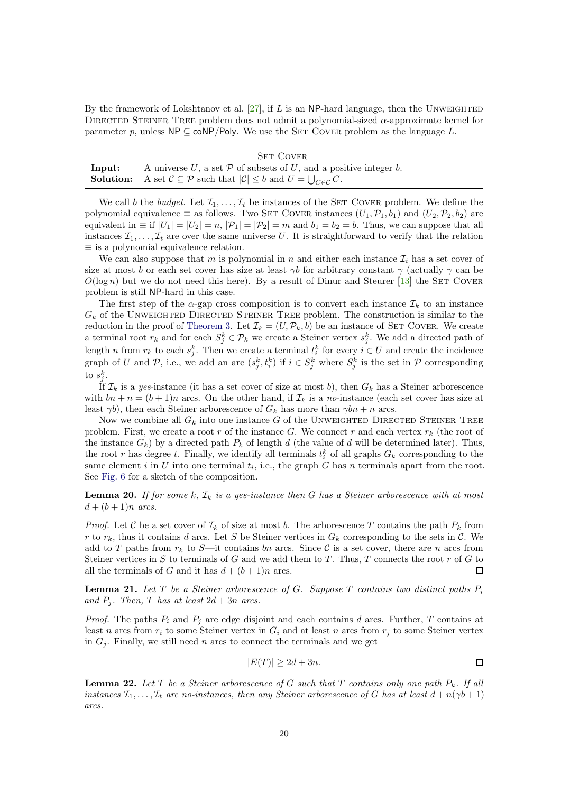By the framework of Lokshtanov et al.  $[27]$ , if L is an NP-hard language, then the UNWEIGHTED DIRECTED STEINER TREE problem does not admit a polynomial-sized  $\alpha$ -approximate kernel for parameter p, unless  $NP \subseteq \text{coNP}/Poly$ . We use the SET COVER problem as the language L.

|        | <b>SET COVER</b>                                                                                                  |
|--------|-------------------------------------------------------------------------------------------------------------------|
| Input: | A universe U, a set $P$ of subsets of U, and a positive integer b.                                                |
|        | <b>Solution:</b> A set $C \subseteq \mathcal{P}$ such that $ C  \leq b$ and $U = \bigcup_{C \in \mathcal{C}} C$ . |

We call b the budget. Let  $\mathcal{I}_1, \ldots, \mathcal{I}_t$  be instances of the SET COVER problem. We define the polynomial equivalence  $\equiv$  as follows. Two SET COVER instances  $(U_1, \mathcal{P}_1, b_1)$  and  $(U_2, \mathcal{P}_2, b_2)$  are equivalent in  $\equiv$  if  $|U_1| = |U_2| = n$ ,  $|\mathcal{P}_1| = |\mathcal{P}_2| = m$  and  $b_1 = b_2 = b$ . Thus, we can suppose that all instances  $\mathcal{I}_1, \ldots, \mathcal{I}_t$  are over the same universe U. It is straightforward to verify that the relation ≡ is a polynomial equivalence relation.

We can also suppose that m is polynomial in n and either each instance  $\mathcal{I}_i$  has a set cover of size at most b or each set cover has size at least  $\gamma b$  for arbitrary constant  $\gamma$  (actually  $\gamma$  can be  $O(\log n)$  but we do not need this here). By a result of Dinur and Steurer [\[13\]](#page-22-6) the SET COVER problem is still NP-hard in this case.

The first step of the  $\alpha$ -gap cross composition is to convert each instance  $\mathcal{I}_k$  to an instance  $G_k$  of the UNWEIGHTED DIRECTED STEINER TREE problem. The construction is similar to the reduction in the proof of [Theorem 3.](#page-2-0) Let  $\mathcal{I}_k = (U, \mathcal{P}_k, b)$  be an instance of SET COVER. We create a terminal root  $r_k$  and for each  $S_j^k \in \mathcal{P}_k$  we create a Steiner vertex  $s_j^k$ . We add a directed path of length n from  $r_k$  to each  $s_j^k$ . Then we create a terminal  $t_i^k$  for every  $i \in U$  and create the incidence graph of U and P, i.e., we add an arc  $(s_j^k, t_i^k)$  if  $i \in S_j^k$  where  $S_j^k$  is the set in P corresponding to  $s_j^k$ .

If  $\mathcal{I}_k$  is a yes-instance (it has a set cover of size at most b), then  $G_k$  has a Steiner arborescence with  $bn + n = (b + 1)n$  arcs. On the other hand, if  $\mathcal{I}_k$  is a no-instance (each set cover has size at least  $\gamma b$ ), then each Steiner arborescence of  $G_k$  has more than  $\gamma bn + n$  arcs.

Now we combine all  $G_k$  into one instance G of the UNWEIGHTED DIRECTED STEINER TREE problem. First, we create a root r of the instance G. We connect r and each vertex  $r_k$  (the root of the instance  $G_k$ ) by a directed path  $P_k$  of length d (the value of d will be determined later). Thus, the root r has degree t. Finally, we identify all terminals  $t_i^k$  of all graphs  $G_k$  corresponding to the same element i in U into one terminal  $t_i$ , i.e., the graph G has n terminals apart from the root. See [Fig. 6](#page-20-0) for a sketch of the composition.

<span id="page-19-2"></span>**Lemma 20.** If for some k,  $\mathcal{I}_k$  is a yes-instance then G has a Steiner arborescence with at most  $d + (b+1)n$  arcs.

*Proof.* Let C be a set cover of  $\mathcal{I}_k$  of size at most b. The arborescence T contains the path  $P_k$  from r to  $r_k$ , thus it contains d arcs. Let S be Steiner vertices in  $G_k$  corresponding to the sets in C. We add to T paths from  $r_k$  to S—it contains bn arcs. Since C is a set cover, there are n arcs from Steiner vertices in  $S$  to terminals of  $G$  and we add them to  $T$ . Thus,  $T$  connects the root  $r$  of  $G$  to all the terminals of G and it has  $d + (b + 1)n$  arcs.  $\Box$ 

<span id="page-19-0"></span>**Lemma 21.** Let T be a Steiner arborescence of G. Suppose T contains two distinct paths  $P_i$ and  $P_i$ . Then, T has at least  $2d + 3n$  arcs.

*Proof.* The paths  $P_i$  and  $P_j$  are edge disjoint and each contains d arcs. Further, T contains at least n arcs from  $r_i$  to some Steiner vertex in  $G_i$  and at least n arcs from  $r_j$  to some Steiner vertex in  $G_i$ . Finally, we still need n arcs to connect the terminals and we get

$$
|E(T)| \ge 2d + 3n. \qquad \qquad \Box
$$

<span id="page-19-1"></span>**Lemma 22.** Let T be a Steiner arborescence of G such that T contains only one path  $P_k$ . If all instances  $\mathcal{I}_1, \ldots, \mathcal{I}_t$  are no-instances, then any Steiner arborescence of G has at least  $d + n(\gamma b + 1)$ arcs.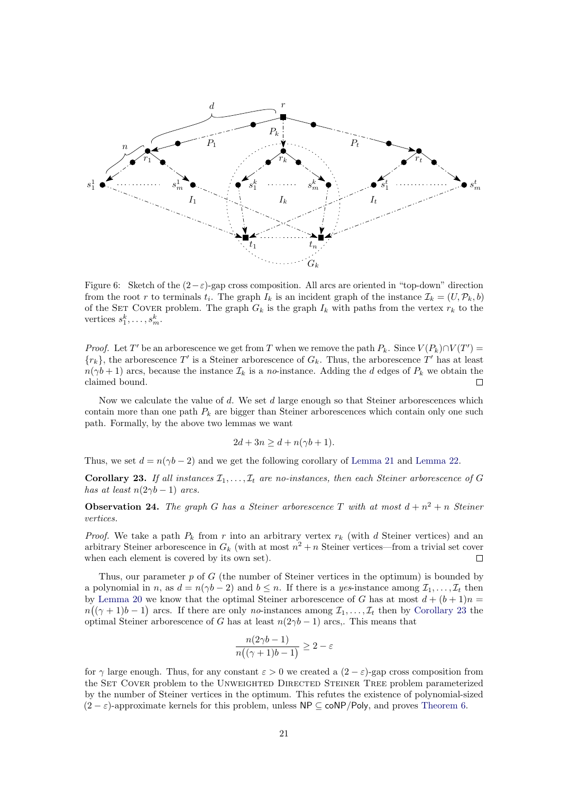

<span id="page-20-0"></span>Figure 6: Sketch of the  $(2-\varepsilon)$ -gap cross composition. All arcs are oriented in "top-down" direction from the root r to terminals  $t_i$ . The graph  $I_k$  is an incident graph of the instance  $\mathcal{I}_k = (U, \mathcal{P}_k, b)$ of the SET COVER problem. The graph  $G_k$  is the graph  $I_k$  with paths from the vertex  $r_k$  to the vertices  $s_1^k, \ldots, s_m^k$ .

*Proof.* Let T' be an arborescence we get from T when we remove the path  $P_k$ . Since  $V(P_k) \cap V(T') =$  $\{r_k\}$ , the arborescence T' is a Steiner arborescence of  $G_k$ . Thus, the arborescence T' has at least  $n(\gamma b + 1)$  arcs, because the instance  $\mathcal{I}_k$  is a no-instance. Adding the d edges of  $P_k$  we obtain the claimed bound.  $\Box$ 

Now we calculate the value of  $d$ . We set  $d$  large enough so that Steiner arborescences which contain more than one path  $P_k$  are bigger than Steiner arborescences which contain only one such path. Formally, by the above two lemmas we want

$$
2d + 3n \ge d + n(\gamma b + 1).
$$

Thus, we set  $d = n(\gamma b - 2)$  and we get the following corollary of [Lemma 21](#page-19-0) and [Lemma 22.](#page-19-1)

<span id="page-20-1"></span>**Corollary 23.** If all instances  $\mathcal{I}_1, \ldots, \mathcal{I}_t$  are no-instances, then each Steiner arborescence of G has at least  $n(2\gamma b - 1)$  arcs.

**Observation 24.** The graph G has a Steiner arborescence T with at most  $d + n^2 + n$  Steiner vertices.

*Proof.* We take a path  $P_k$  from r into an arbitrary vertex  $r_k$  (with d Steiner vertices) and an arbitrary Steiner arborescence in  $G_k$  (with at most  $n^2 + n$  Steiner vertices—from a trivial set cover when each element is covered by its own set).  $\Box$ 

Thus, our parameter  $p$  of  $G$  (the number of Steiner vertices in the optimum) is bounded by a polynomial in n, as  $d = n(\gamma b - 2)$  and  $b \leq n$ . If there is a yes-instance among  $\mathcal{I}_1, \ldots, \mathcal{I}_t$  then by [Lemma 20](#page-19-2) we know that the optimal Steiner arborescence of G has at most  $d + (b + 1)n =$  $n((\gamma+1)b-1)$  arcs. If there are only no-instances among  $\mathcal{I}_1,\ldots,\mathcal{I}_t$  then by [Corollary 23](#page-20-1) the optimal Steiner arborescence of G has at least  $n(2\gamma b - 1)$  arcs,. This means that

$$
\frac{n(2\gamma b - 1)}{n((\gamma + 1)b - 1)} \ge 2 - \varepsilon
$$

for  $\gamma$  large enough. Thus, for any constant  $\varepsilon > 0$  we created a  $(2 - \varepsilon)$ -gap cross composition from the SET COVER problem to the UNWEIGHTED DIRECTED STEINER TREE problem parameterized by the number of Steiner vertices in the optimum. This refutes the existence of polynomial-sized  $(2 - \varepsilon)$ -approximate kernels for this problem, unless NP  $\subseteq$  coNP/Poly, and proves [Theorem 6.](#page-3-1)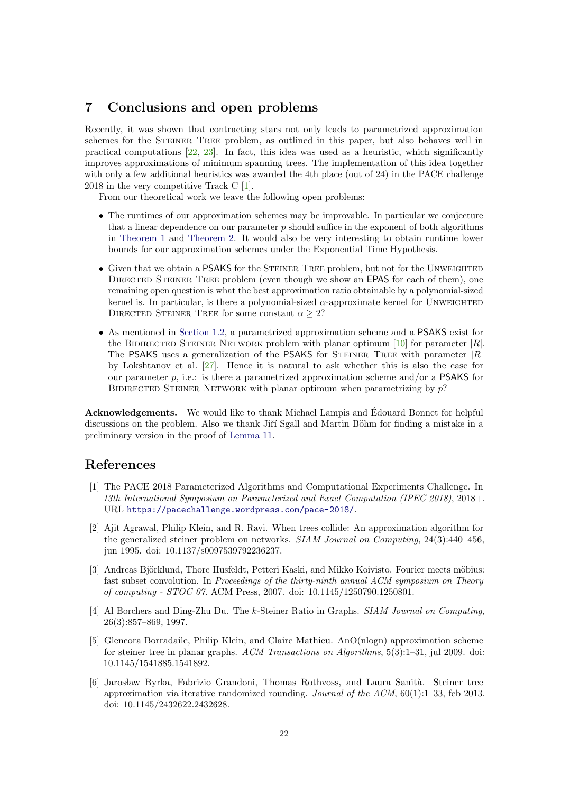## 7 Conclusions and open problems

Recently, it was shown that contracting stars not only leads to parametrized approximation schemes for the STEINER TREE problem, as outlined in this paper, but also behaves well in practical computations  $[22, 23]$  $[22, 23]$  $[22, 23]$ . In fact, this idea was used as a heuristic, which significantly improves approximations of minimum spanning trees. The implementation of this idea together with only a few additional heuristics was awarded the 4th place (out of 24) in the PACE challenge 2018 in the very competitive Track C [\[1\]](#page-21-5).

From our theoretical work we leave the following open problems:

- The runtimes of our approximation schemes may be improvable. In particular we conjecture that a linear dependence on our parameter  $p$  should suffice in the exponent of both algorithms in [Theorem 1](#page-1-2) and [Theorem 2.](#page-2-2) It would also be very interesting to obtain runtime lower bounds for our approximation schemes under the Exponential Time Hypothesis.
- Given that we obtain a PSAKS for the STEINER TREE problem, but not for the UNWEIGHTED DIRECTED STEINER TREE problem (even though we show an **EPAS** for each of them), one remaining open question is what the best approximation ratio obtainable by a polynomial-sized kernel is. In particular, is there a polynomial-sized  $\alpha$ -approximate kernel for UNWEIGHTED DIRECTED STEINER TREE for some constant  $\alpha \geq 2$ ?
- As mentioned in [Section 1.2,](#page-5-0) a parametrized approximation scheme and a PSAKS exist for the BIDIRECTED STEINER NETWORK problem with planar optimum  $[10]$  for parameter  $|R|$ . The PSAKS uses a generalization of the PSAKS for STEINER TREE with parameter  $|R|$ by Lokshtanov et al. [\[27\]](#page-23-5). Hence it is natural to ask whether this is also the case for our parameter p, i.e.: is there a parametrized approximation scheme and/or a PSAKS for BIDIRECTED STEINER NETWORK with planar optimum when parametrizing by p?

Acknowledgements. We would like to thank Michael Lampis and Edouard Bonnet for helpful discussions on the problem. Also we thank Jiří Sgall and Martin Böhm for finding a mistake in a preliminary version in the proof of [Lemma 11.](#page-10-1)

## References

- <span id="page-21-5"></span>[1] The PACE 2018 Parameterized Algorithms and Computational Experiments Challenge. In 13th International Symposium on Parameterized and Exact Computation (IPEC 2018), 2018+. URL <https://pacechallenge.wordpress.com/pace-2018/>.
- <span id="page-21-4"></span>[2] Ajit Agrawal, Philip Klein, and R. Ravi. When trees collide: An approximation algorithm for the generalized steiner problem on networks. SIAM Journal on Computing, 24(3):440–456, jun 1995. doi: 10.1137/s0097539792236237.
- <span id="page-21-1"></span>[3] Andreas Björklund, Thore Husfeldt, Petteri Kaski, and Mikko Koivisto. Fourier meets möbius: fast subset convolution. In Proceedings of the thirty-ninth annual ACM symposium on Theory of computing - STOC 07. ACM Press, 2007. doi: 10.1145/1250790.1250801.
- <span id="page-21-2"></span>[4] Al Borchers and Ding-Zhu Du. The k-Steiner Ratio in Graphs. *SIAM Journal on Computing*, 26(3):857–869, 1997.
- <span id="page-21-3"></span>[5] Glencora Borradaile, Philip Klein, and Claire Mathieu. AnO(nlogn) approximation scheme for steiner tree in planar graphs. ACM Transactions on Algorithms, 5(3):1–31, jul 2009. doi: 10.1145/1541885.1541892.
- <span id="page-21-0"></span>[6] Jaros law Byrka, Fabrizio Grandoni, Thomas Rothvoss, and Laura Sanit`a. Steiner tree approximation via iterative randomized rounding. Journal of the  $ACM$ ,  $60(1):1-33$ , feb 2013. doi: 10.1145/2432622.2432628.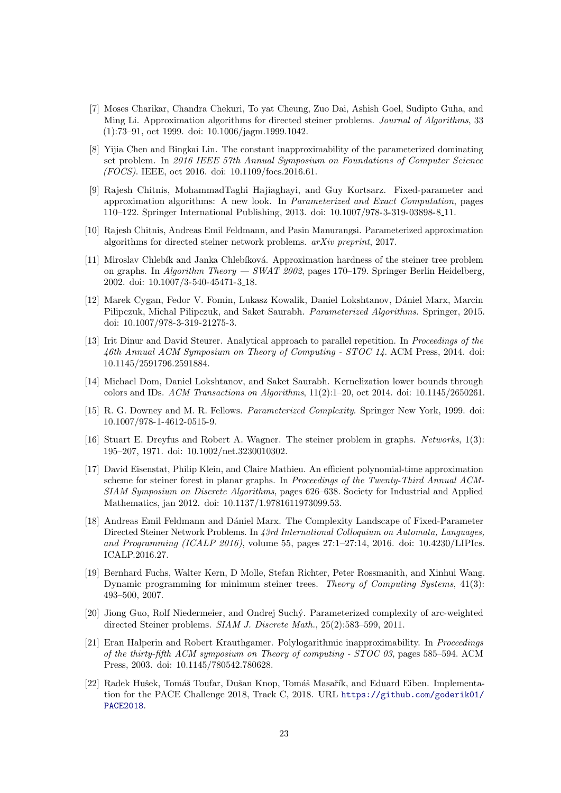- <span id="page-22-9"></span>[7] Moses Charikar, Chandra Chekuri, To yat Cheung, Zuo Dai, Ashish Goel, Sudipto Guha, and Ming Li. Approximation algorithms for directed steiner problems. Journal of Algorithms, 33 (1):73–91, oct 1999. doi: 10.1006/jagm.1999.1042.
- <span id="page-22-14"></span>[8] Yijia Chen and Bingkai Lin. The constant inapproximability of the parameterized dominating set problem. In 2016 IEEE 57th Annual Symposium on Foundations of Computer Science (FOCS). IEEE, oct 2016. doi: 10.1109/focs.2016.61.
- <span id="page-22-12"></span>[9] Rajesh Chitnis, MohammadTaghi Hajiaghayi, and Guy Kortsarz. Fixed-parameter and approximation algorithms: A new look. In Parameterized and Exact Computation, pages 110–122. Springer International Publishing, 2013. doi: 10.1007/978-3-319-03898-8 11.
- <span id="page-22-13"></span>[10] Rajesh Chitnis, Andreas Emil Feldmann, and Pasin Manurangsi. Parameterized approximation algorithms for directed steiner network problems. arXiv preprint, 2017.
- <span id="page-22-1"></span>[11] Miroslav Chlebík and Janka Chlebíková. Approximation hardness of the steiner tree problem on graphs. In Algorithm Theory — SWAT 2002, pages 170–179. Springer Berlin Heidelberg, 2002. doi: 10.1007/3-540-45471-3 18.
- <span id="page-22-0"></span>[12] Marek Cygan, Fedor V. Fomin, Lukasz Kowalik, Daniel Lokshtanov, D´aniel Marx, Marcin Pilipczuk, Michal Pilipczuk, and Saket Saurabh. Parameterized Algorithms. Springer, 2015. doi: 10.1007/978-3-319-21275-3.
- <span id="page-22-6"></span>[13] Irit Dinur and David Steurer. Analytical approach to parallel repetition. In Proceedings of the 46th Annual ACM Symposium on Theory of Computing - STOC 14. ACM Press, 2014. doi: 10.1145/2591796.2591884.
- <span id="page-22-8"></span>[14] Michael Dom, Daniel Lokshtanov, and Saket Saurabh. Kernelization lower bounds through colors and IDs. ACM Transactions on Algorithms,  $11(2):1-20$ , oct 2014. doi:  $10.1145/2650261$ .
- <span id="page-22-4"></span>[15] R. G. Downey and M. R. Fellows. Parameterized Complexity. Springer New York, 1999. doi: 10.1007/978-1-4612-0515-9.
- <span id="page-22-2"></span>[16] Stuart E. Dreyfus and Robert A. Wagner. The steiner problem in graphs. Networks, 1(3): 195–207, 1971. doi: 10.1002/net.3230010302.
- <span id="page-22-7"></span>[17] David Eisenstat, Philip Klein, and Claire Mathieu. An efficient polynomial-time approximation scheme for steiner forest in planar graphs. In Proceedings of the Twenty-Third Annual ACM-SIAM Symposium on Discrete Algorithms, pages 626–638. Society for Industrial and Applied Mathematics, jan 2012. doi: 10.1137/1.9781611973099.53.
- <span id="page-22-10"></span>[18] Andreas Emil Feldmann and Dániel Marx. The Complexity Landscape of Fixed-Parameter Directed Steiner Network Problems. In 43rd International Colloquium on Automata, Languages, and Programming (ICALP 2016), volume 55, pages 27:1–27:14, 2016. doi: 10.4230/LIPIcs. ICALP.2016.27.
- <span id="page-22-3"></span>[19] Bernhard Fuchs, Walter Kern, D Molle, Stefan Richter, Peter Rossmanith, and Xinhui Wang. Dynamic programming for minimum steiner trees. Theory of Computing Systems, 41(3): 493–500, 2007.
- <span id="page-22-11"></span>[20] Jiong Guo, Rolf Niedermeier, and Ondrej Such´y. Parameterized complexity of arc-weighted directed Steiner problems. SIAM J. Discrete Math., 25(2):583–599, 2011.
- <span id="page-22-5"></span>[21] Eran Halperin and Robert Krauthgamer. Polylogarithmic inapproximability. In Proceedings of the thirty-fifth ACM symposium on Theory of computing - STOC 03, pages 585–594. ACM Press, 2003. doi: 10.1145/780542.780628.
- <span id="page-22-15"></span>[22] Radek Hušek, Tomáš Toufar, Dušan Knop, Tomáš Masařík, and Eduard Eiben. Implementation for the PACE Challenge 2018, Track C, 2018. URL [https://github.com/goderik01/](https://github.com/goderik01/PACE2018) [PACE2018](https://github.com/goderik01/PACE2018).